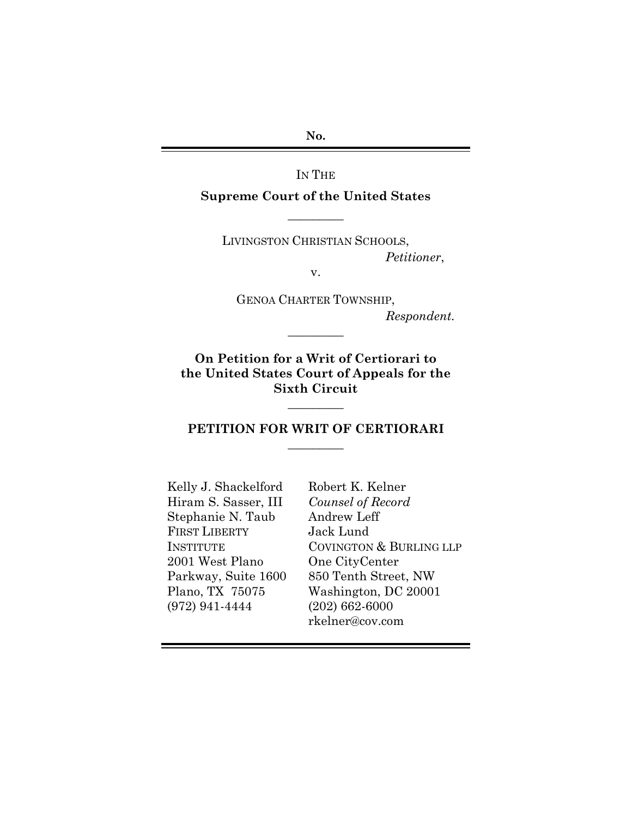**No.**

IN THE

**Supreme Court of the United States**  $\overline{\phantom{a}}$   $\overline{\phantom{a}}$ 

LIVINGSTON CHRISTIAN SCHOOLS, *Petitioner*,

v.

GENOA CHARTER TOWNSHIP, *Respondent.*  $\overline{\phantom{a}}$  . The set of  $\overline{\phantom{a}}$ 

**On Petition for a Writ of Certiorari to the United States Court of Appeals for the Sixth Circuit**

#### **PETITION FOR WRIT OF CERTIORARI**  $\overline{\phantom{a}}$  . The set of  $\overline{\phantom{a}}$

 $\overline{\phantom{a}}$  . The set of  $\overline{\phantom{a}}$ 

Kelly J. Shackelford Hiram S. Sasser, III Stephanie N. Taub FIRST LIBERTY INSTITUTE 2001 West Plano Parkway, Suite 1600 Plano, TX 75075 (972) 941-4444

Robert K. Kelner *Counsel of Record* Andrew Leff Jack Lund COVINGTON & BURLING LLP One CityCenter 850 Tenth Street, NW Washington, DC 20001 (202) 662-6000 rkelner@cov.com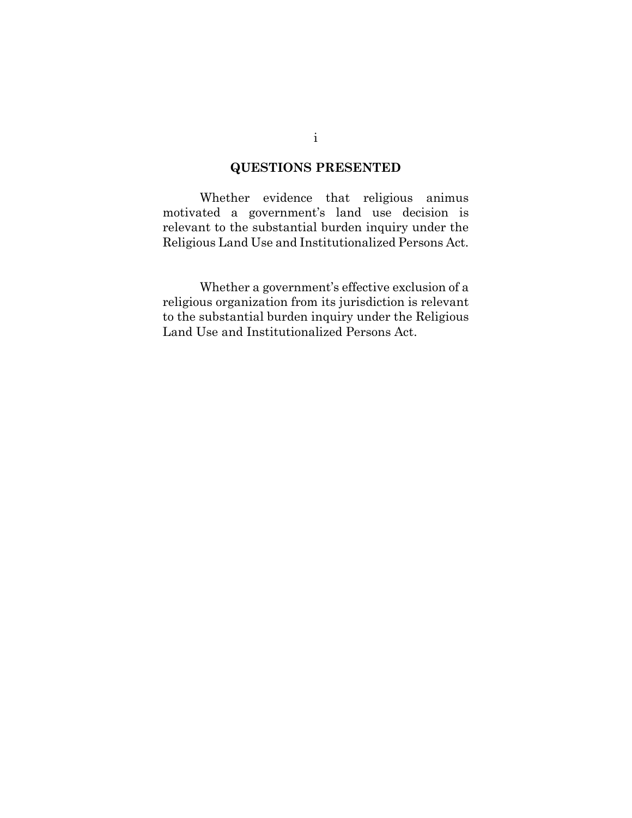#### **QUESTIONS PRESENTED**

Whether evidence that religious animus motivated a government's land use decision is relevant to the substantial burden inquiry under the Religious Land Use and Institutionalized Persons Act.

Whether a government's effective exclusion of a religious organization from its jurisdiction is relevant to the substantial burden inquiry under the Religious Land Use and Institutionalized Persons Act.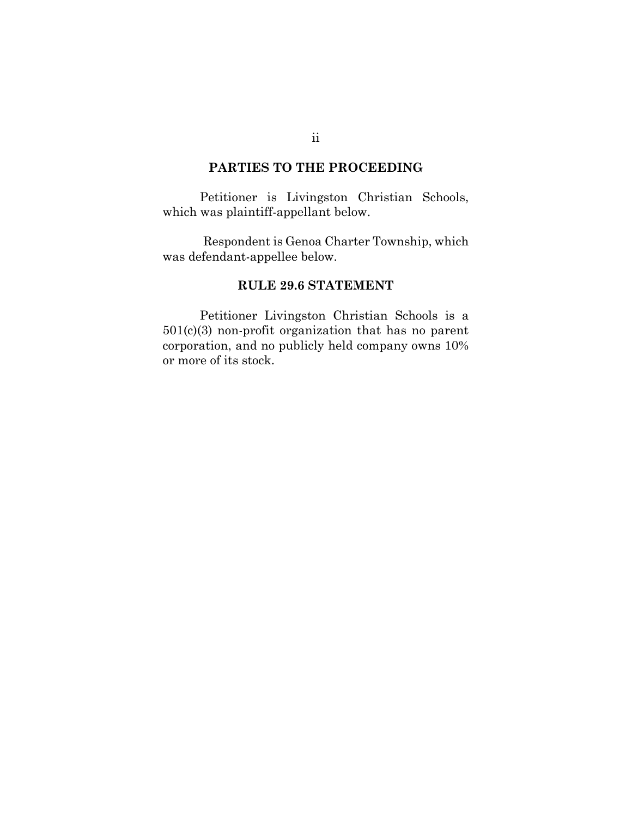#### **PARTIES TO THE PROCEEDING**

Petitioner is Livingston Christian Schools, which was plaintiff-appellant below.

Respondent is Genoa Charter Township, which was defendant-appellee below.

#### **RULE 29.6 STATEMENT**

Petitioner Livingston Christian Schools is a 501(c)(3) non-profit organization that has no parent corporation, and no publicly held company owns 10% or more of its stock.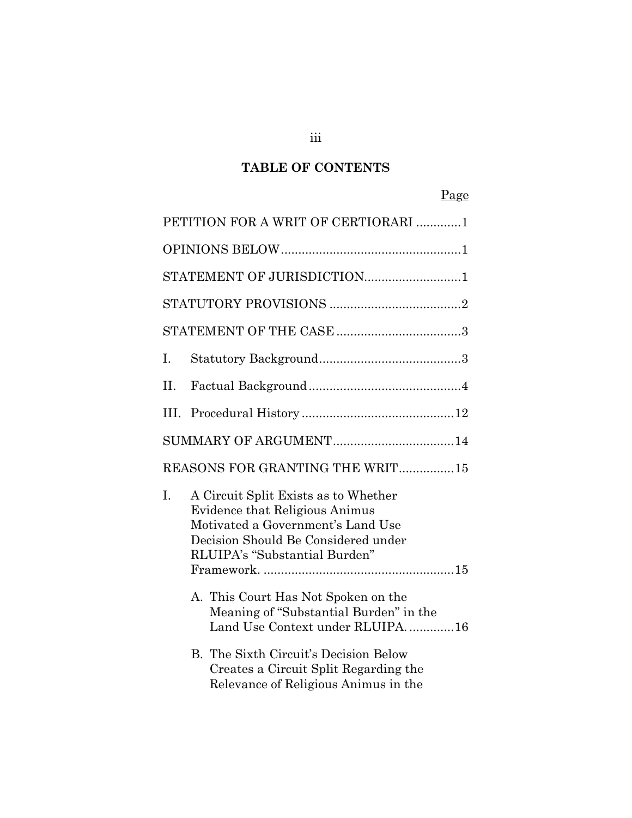# **TABLE OF CONTENTS**

# Page

|                                 | PETITION FOR A WRIT OF CERTIORARI 1 |                                                                                                                                                                                     |  |  |  |
|---------------------------------|-------------------------------------|-------------------------------------------------------------------------------------------------------------------------------------------------------------------------------------|--|--|--|
|                                 |                                     |                                                                                                                                                                                     |  |  |  |
|                                 | STATEMENT OF JURISDICTION1          |                                                                                                                                                                                     |  |  |  |
|                                 |                                     |                                                                                                                                                                                     |  |  |  |
|                                 |                                     |                                                                                                                                                                                     |  |  |  |
|                                 | L.                                  |                                                                                                                                                                                     |  |  |  |
| II.                             |                                     |                                                                                                                                                                                     |  |  |  |
|                                 | III.                                |                                                                                                                                                                                     |  |  |  |
|                                 |                                     |                                                                                                                                                                                     |  |  |  |
| REASONS FOR GRANTING THE WRIT15 |                                     |                                                                                                                                                                                     |  |  |  |
|                                 | I.                                  | A Circuit Split Exists as to Whether<br>Evidence that Religious Animus<br>Motivated a Government's Land Use<br>Decision Should Be Considered under<br>RLUIPA's "Substantial Burden" |  |  |  |
|                                 |                                     | A. This Court Has Not Spoken on the<br>Meaning of "Substantial Burden" in the<br>Land Use Context under RLUIPA16                                                                    |  |  |  |
|                                 |                                     | <b>B.</b> The Sixth Circuit's Decision Below<br>Creates a Circuit Split Regarding the<br>Relevance of Religious Animus in the                                                       |  |  |  |

iii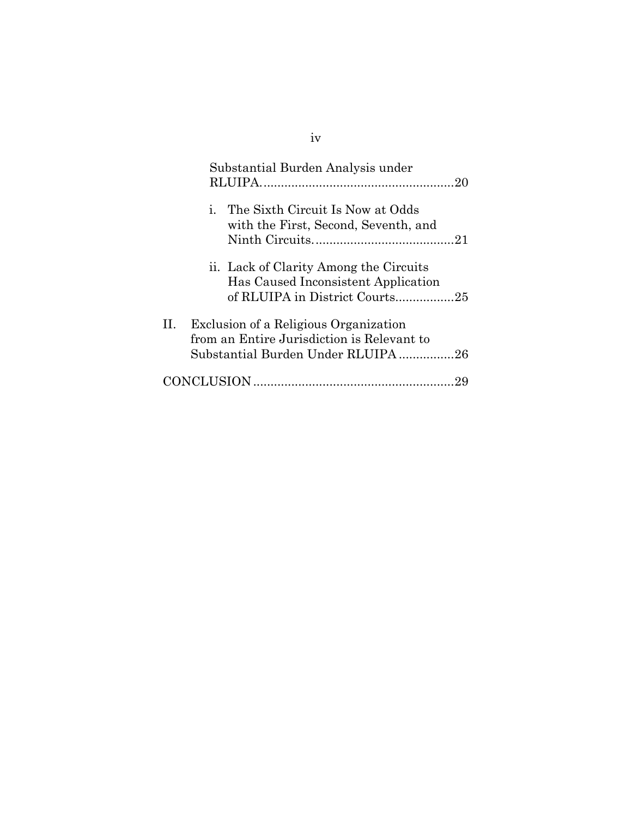|    | Substantial Burden Analysis under                                                                                        |
|----|--------------------------------------------------------------------------------------------------------------------------|
|    | i. The Sixth Circuit Is Now at Odds<br>with the First, Second, Seventh, and                                              |
|    | ii. Lack of Clarity Among the Circuits<br>Has Caused Inconsistent Application<br>of RLUIPA in District Courts25          |
| П. | Exclusion of a Religious Organization<br>from an Entire Jurisdiction is Relevant to<br>Substantial Burden Under RLUIPA26 |
|    |                                                                                                                          |

# iv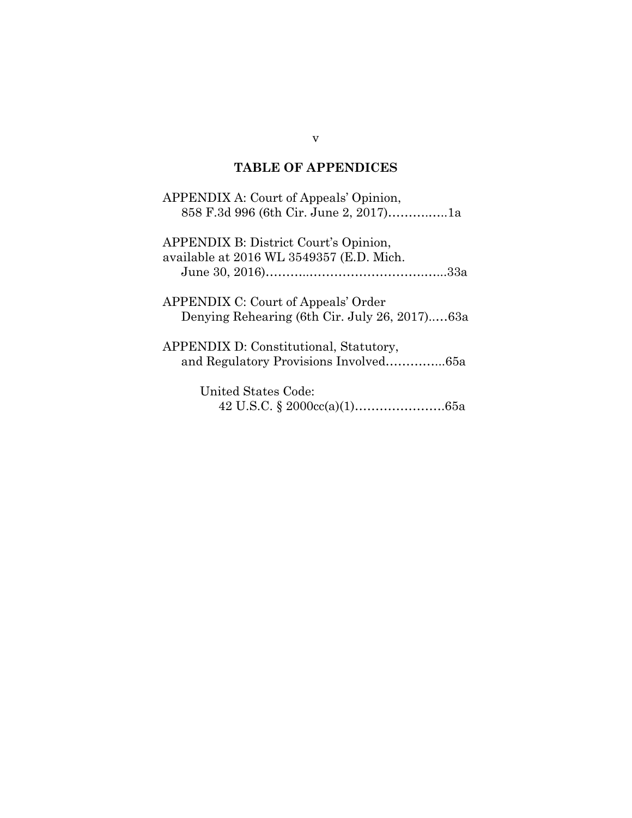## **TABLE OF APPENDICES**

| APPENDIX A: Court of Appeals' Opinion,        |
|-----------------------------------------------|
| 858 F.3d 996 (6th Cir. June 2, 2017)1a        |
| <b>APPENDIX B: District Court's Opinion,</b>  |
| available at 2016 WL 3549357 (E.D. Mich.      |
|                                               |
| <b>APPENDIX C: Court of Appeals' Order</b>    |
| Denying Rehearing (6th Cir. July 26, 2017)63a |
| APPENDIX D: Constitutional, Statutory,        |
|                                               |
| United States Code:                           |
|                                               |
|                                               |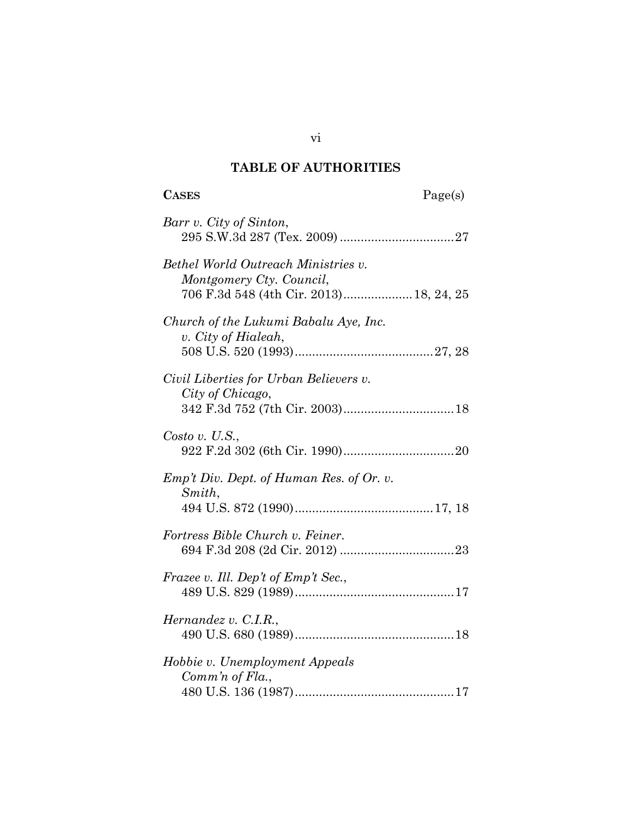## **TABLE OF AUTHORITIES**

# **CASES** Page(s)

| Barr v. City of Sinton,                                                                                    |
|------------------------------------------------------------------------------------------------------------|
| Bethel World Outreach Ministries v.<br>Montgomery Cty. Council,<br>706 F.3d 548 (4th Cir. 2013) 18, 24, 25 |
| Church of the Lukumi Babalu Aye, Inc.<br>v. City of Hialeah,                                               |
| Civil Liberties for Urban Believers v.<br>City of Chicago,                                                 |
| Costo v. U.S.,                                                                                             |
| Emp't Div. Dept. of Human Res. of Or. v.<br>Smith,                                                         |
| Fortress Bible Church v. Feiner.                                                                           |
| Frazee v. Ill. Dep't of Emp't Sec.,                                                                        |
| Hernandez v. C.I.R.,                                                                                       |
| Hobbie v. Unemployment Appeals<br>Comm'n of $Fla$ .,                                                       |

vi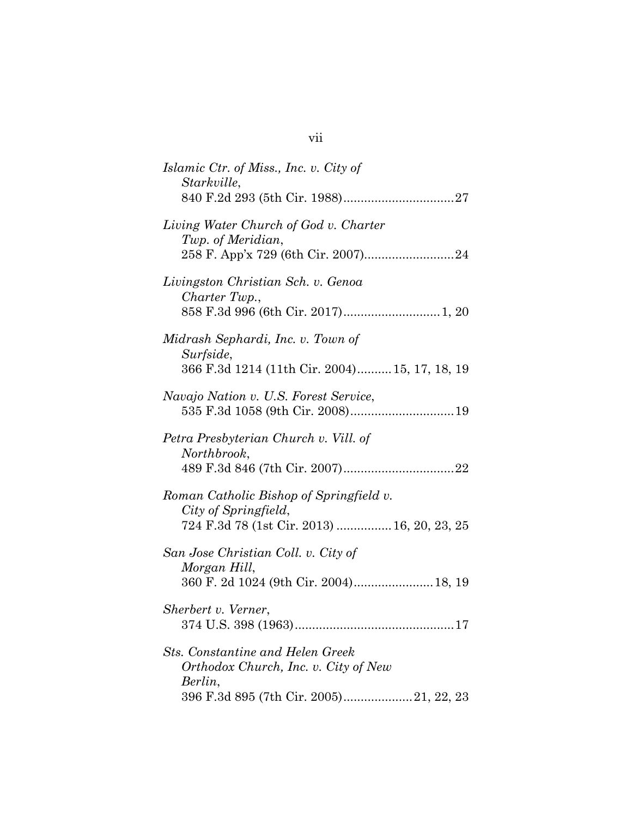| Islamic Ctr. of Miss., Inc. v. City of<br>Starkville,                                                                                 |
|---------------------------------------------------------------------------------------------------------------------------------------|
| Living Water Church of God v. Charter<br>Twp. of Meridian,                                                                            |
| Livingston Christian Sch. v. Genoa<br>Charter Twp.,                                                                                   |
| Midrash Sephardi, Inc. v. Town of<br>Surfside,<br>366 F.3d 1214 (11th Cir. 2004) 15, 17, 18, 19                                       |
| Navajo Nation v. U.S. Forest Service,                                                                                                 |
| Petra Presbyterian Church v. Vill. of<br>Northbrook,                                                                                  |
| Roman Catholic Bishop of Springfield v.<br>City of Springfield,<br>724 F.3d 78 (1st Cir. 2013)  16, 20, 23, 25                        |
| San Jose Christian Coll. v. City of<br>Morgan Hill,<br>360 F. 2d 1024 (9th Cir. 2004) 18, 19                                          |
| Sherbert v. Verner,<br>374 U.S. 398 (1963)<br>$\dots 17$                                                                              |
| <b>Sts. Constantine and Helen Greek</b><br>Orthodox Church, Inc. v. City of New<br>Berlin,<br>396 F.3d 895 (7th Cir. 2005) 21, 22, 23 |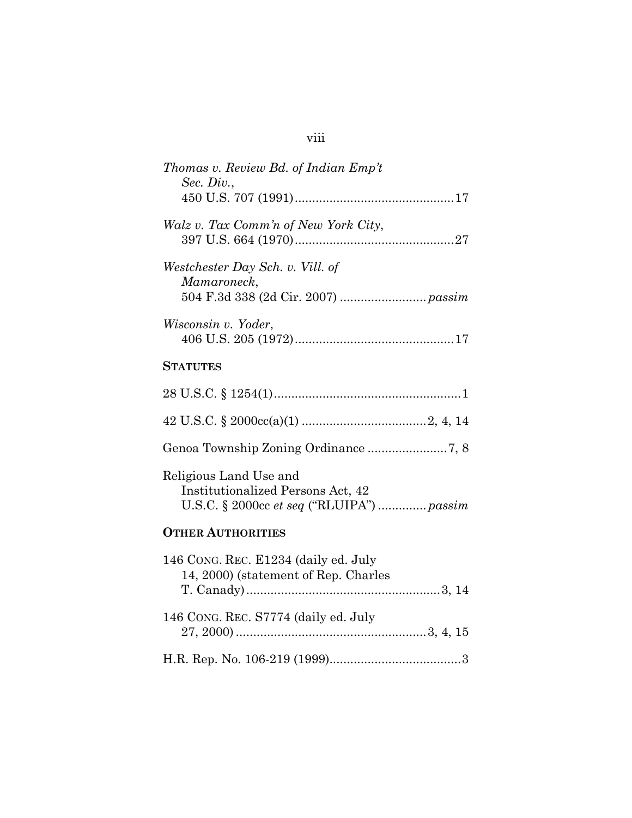| Thomas v. Review Bd. of Indian Emp't<br>Sec. Div.,                                                              |
|-----------------------------------------------------------------------------------------------------------------|
| Walz v. Tax Comm'n of New York City,                                                                            |
| Westchester Day Sch. v. Vill. of<br>Mamaroneck,                                                                 |
| Wisconsin v. Yoder,                                                                                             |
| <b>STATUTES</b>                                                                                                 |
|                                                                                                                 |
|                                                                                                                 |
| Genoa Township Zoning Ordinance7, 8                                                                             |
| Religious Land Use and<br><b>Institutionalized Persons Act, 42</b><br>U.S.C. § 2000cc et seq ("RLUIPA")  passim |
| <b>OTHER AUTHORITIES</b>                                                                                        |
| 146 CONG. REC. E1234 (daily ed. July<br>14, 2000) (statement of Rep. Charles                                    |
| 146 CONG. REC. S7774 (daily ed. July                                                                            |
|                                                                                                                 |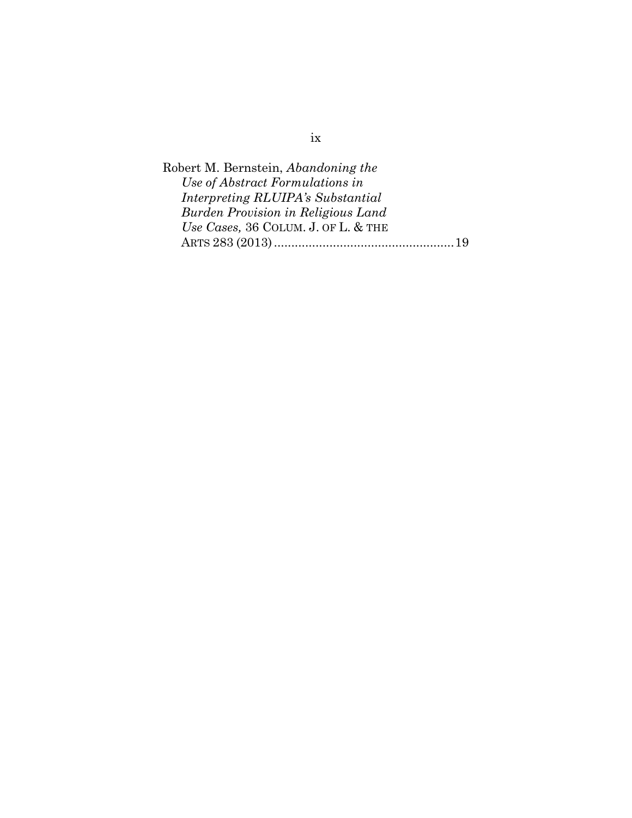Robert M. Bernstein, *Abandoning the Use of Abstract Formulations in Interpreting RLUIPA's Substantial Burden Provision in Religious Land Use Cases,* 36 COLUM. J. OF L. & THE ARTS 283 (2013)...................................................[.19](#page-28-3)

ix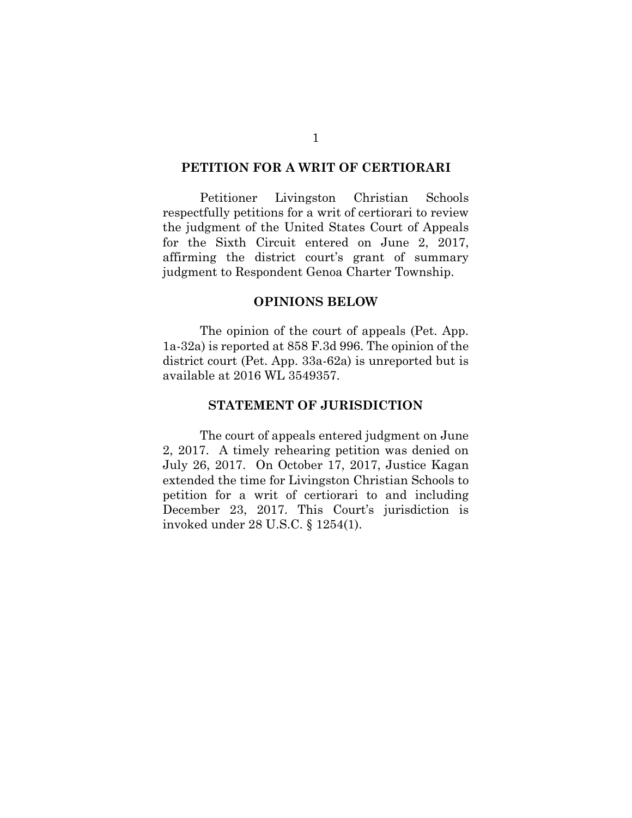#### <span id="page-10-1"></span>**PETITION FOR A WRIT OF CERTIORARI**

Petitioner Livingston Christian Schools respectfully petitions for a writ of certiorari to review the judgment of the United States Court of Appeals for the Sixth Circuit entered on June 2, 2017, affirming the district court's grant of summary judgment to Respondent Genoa Charter Township.

#### <span id="page-10-3"></span><span id="page-10-2"></span><span id="page-10-0"></span>**OPINIONS BELOW**

The opinion of the court of appeals (Pet. App. 1a-32a) is reported at 858 F.3d 996. The opinion of the district court (Pet. App. 33a-62a) is unreported but is available at 2016 WL 3549357.

#### **STATEMENT OF JURISDICTION**

<span id="page-10-4"></span>The court of appeals entered judgment on June 2, 2017. A timely rehearing petition was denied on July 26, 2017. On October 17, 2017, Justice Kagan extended the time for Livingston Christian Schools to petition for a writ of certiorari to and including December 23, 2017. This Court's jurisdiction is invoked under 28 U.S.C. § 1254(1).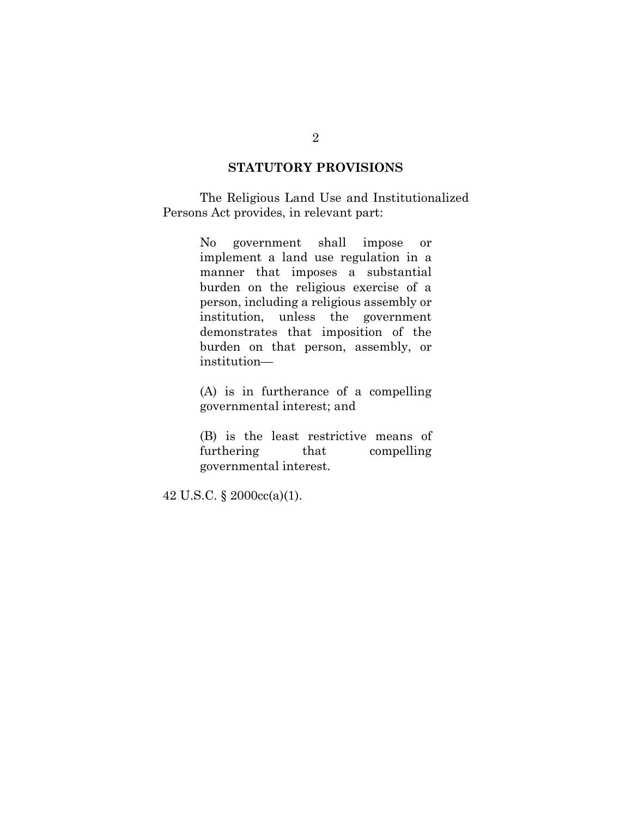#### <span id="page-11-0"></span>**STATUTORY PROVISIONS**

 The Religious Land Use and Institutionalized Persons Act provides, in relevant part:

> No government shall impose or implement a land use regulation in a manner that imposes a substantial burden on the religious exercise of a person, including a religious assembly or institution, unless the government demonstrates that imposition of the burden on that person, assembly, or institution—

> (A) is in furtherance of a compelling governmental interest; and

> (B) is the least restrictive means of furthering that compelling governmental interest.

<span id="page-11-1"></span>42 U.S.C. § 2000cc(a)(1).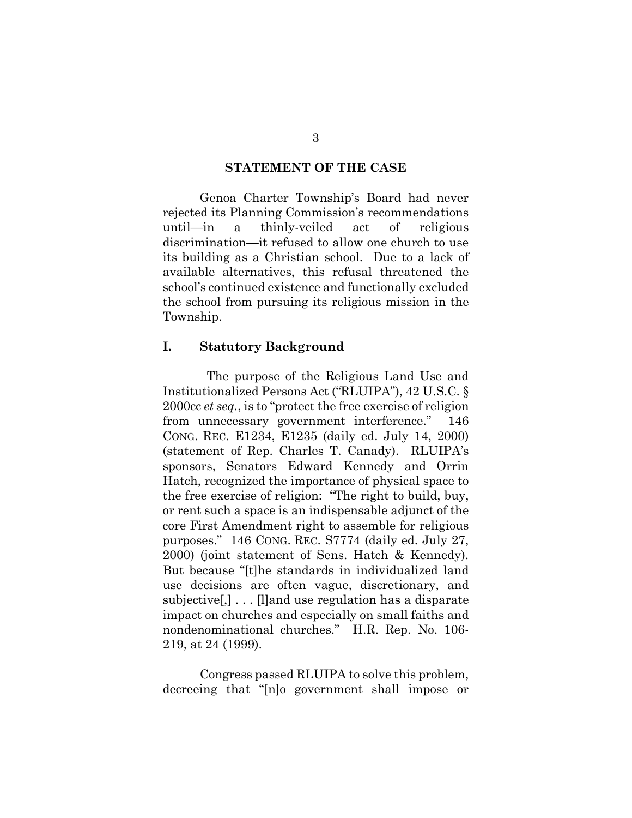#### <span id="page-12-0"></span>**STATEMENT OF THE CASE**

Genoa Charter Township's Board had never rejected its Planning Commission's recommendations until—in a thinly-veiled act of religious discrimination—it refused to allow one church to use its building as a Christian school. Due to a lack of available alternatives, this refusal threatened the school's continued existence and functionally excluded the school from pursuing its religious mission in the Township.

#### <span id="page-12-1"></span>**I. Statutory Background**

<span id="page-12-3"></span> The purpose of the Religious Land Use and Institutionalized Persons Act ("RLUIPA"), 42 U.S.C. § 2000cc *et seq.*, is to "protect the free exercise of religion from unnecessary government interference." 146 CONG. REC. E1234, E1235 (daily ed. July 14, 2000) (statement of Rep. Charles T. Canady). RLUIPA's sponsors, Senators Edward Kennedy and Orrin Hatch, recognized the importance of physical space to the free exercise of religion: "The right to build, buy, or rent such a space is an indispensable adjunct of the core First Amendment right to assemble for religious purposes." 146 CONG. REC. S7774 (daily ed. July 27, 2000) (joint statement of Sens. Hatch & Kennedy). But because "[t]he standards in individualized land use decisions are often vague, discretionary, and subjective[,] . . . [l]and use regulation has a disparate impact on churches and especially on small faiths and nondenominational churches." H.R. Rep. No. 106- 219, at 24 (1999).

<span id="page-12-5"></span><span id="page-12-4"></span><span id="page-12-2"></span>Congress passed RLUIPA to solve this problem, decreeing that "[n]o government shall impose or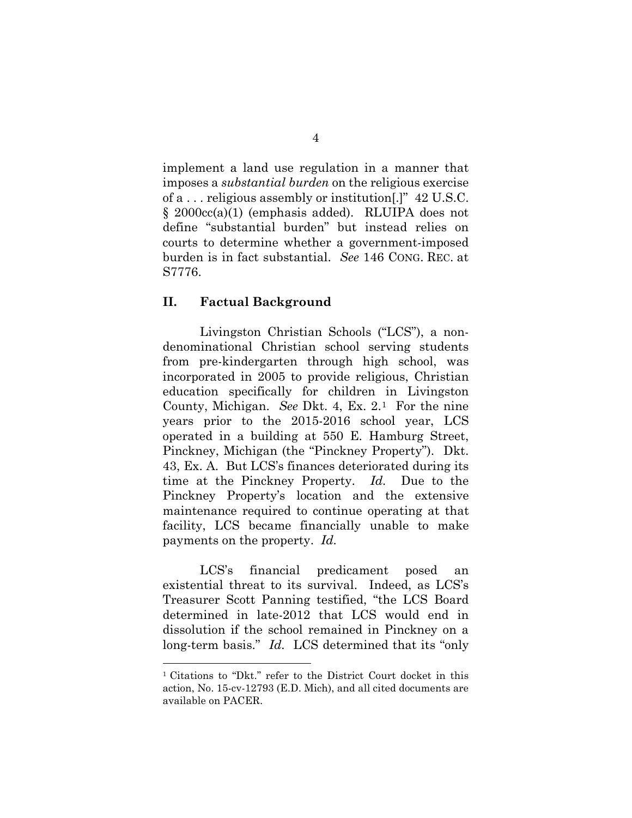<span id="page-13-1"></span>implement a land use regulation in a manner that imposes a *substantial burden* on the religious exercise of a . . . religious assembly or institution[.]" 42 U.S.C. § 2000cc(a)(1) (emphasis added). RLUIPA does not define "substantial burden" but instead relies on courts to determine whether a government-imposed burden is in fact substantial. *See* 146 CONG. REC. at S7776.

#### <span id="page-13-2"></span><span id="page-13-0"></span>**II. Factual Background**

 $\overline{a}$ 

Livingston Christian Schools ("LCS"), a nondenominational Christian school serving students from pre-kindergarten through high school, was incorporated in 2005 to provide religious, Christian education specifically for children in Livingston County, Michigan. *See* Dkt. 4, Ex. 2.[1](#page-13-3) For the nine years prior to the 2015-2016 school year, LCS operated in a building at 550 E. Hamburg Street, Pinckney, Michigan (the "Pinckney Property"). Dkt. 43, Ex. A. But LCS's finances deteriorated during its time at the Pinckney Property. *Id.* Due to the Pinckney Property's location and the extensive maintenance required to continue operating at that facility, LCS became financially unable to make payments on the property. *Id.*

LCS's financial predicament posed an existential threat to its survival. Indeed, as LCS's Treasurer Scott Panning testified, "the LCS Board determined in late-2012 that LCS would end in dissolution if the school remained in Pinckney on a long-term basis." *Id.* LCS determined that its "only

<span id="page-13-3"></span><sup>1</sup> Citations to "Dkt." refer to the District Court docket in this action, No. 15-cv-12793 (E.D. Mich), and all cited documents are available on PACER.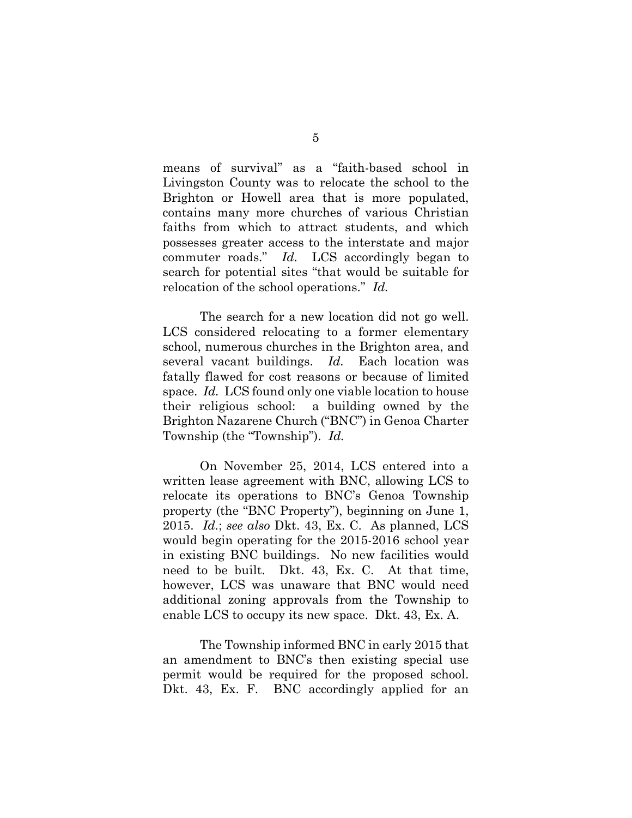means of survival" as a "faith-based school in Livingston County was to relocate the school to the Brighton or Howell area that is more populated, contains many more churches of various Christian faiths from which to attract students, and which possesses greater access to the interstate and major commuter roads." *Id.* LCS accordingly began to search for potential sites "that would be suitable for relocation of the school operations." *Id.*

The search for a new location did not go well. LCS considered relocating to a former elementary school, numerous churches in the Brighton area, and several vacant buildings. *Id.* Each location was fatally flawed for cost reasons or because of limited space. *Id.* LCS found only one viable location to house their religious school: a building owned by the Brighton Nazarene Church ("BNC") in Genoa Charter Township (the "Township"). *Id.*

On November 25, 2014, LCS entered into a written lease agreement with BNC, allowing LCS to relocate its operations to BNC's Genoa Township property (the "BNC Property"), beginning on June 1, 2015. *Id.*; *see also* Dkt. 43, Ex. C. As planned, LCS would begin operating for the 2015-2016 school year in existing BNC buildings. No new facilities would need to be built. Dkt. 43, Ex. C. At that time, however, LCS was unaware that BNC would need additional zoning approvals from the Township to enable LCS to occupy its new space. Dkt. 43, Ex. A.

The Township informed BNC in early 2015 that an amendment to BNC's then existing special use permit would be required for the proposed school. Dkt. 43, Ex. F. BNC accordingly applied for an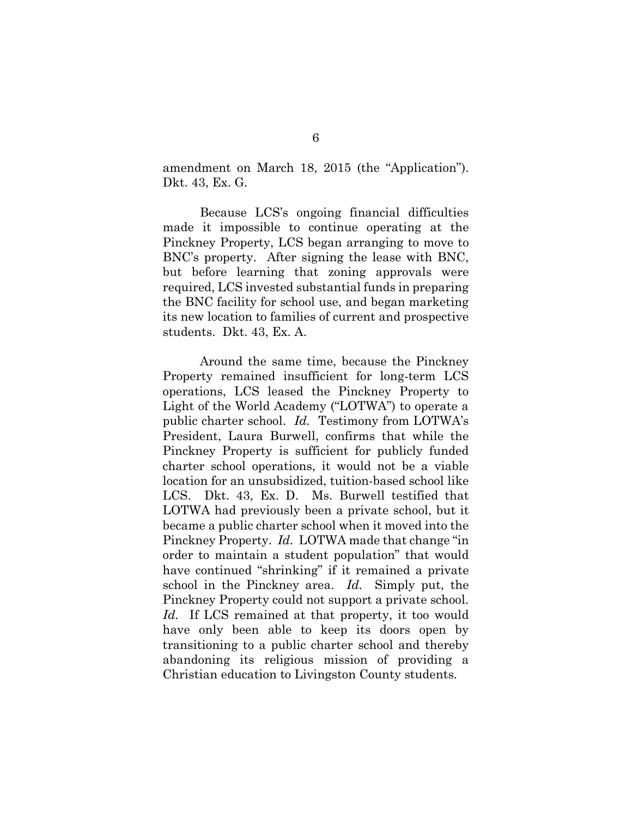amendment on March 18, 2015 (the "Application"). Dkt. 43, Ex. G.

Because LCS's ongoing financial difficulties made it impossible to continue operating at the Pinckney Property, LCS began arranging to move to BNC's property. After signing the lease with BNC, but before learning that zoning approvals were required, LCS invested substantial funds in preparing the BNC facility for school use, and began marketing its new location to families of current and prospective students. Dkt. 43, Ex. A.

Around the same time, because the Pinckney Property remained insufficient for long-term LCS operations, LCS leased the Pinckney Property to Light of the World Academy ("LOTWA") to operate a public charter school. *Id.* Testimony from LOTWA's President, Laura Burwell, confirms that while the Pinckney Property is sufficient for publicly funded charter school operations, it would not be a viable location for an unsubsidized, tuition-based school like LCS. Dkt. 43, Ex. D. Ms. Burwell testified that LOTWA had previously been a private school, but it became a public charter school when it moved into the Pinckney Property. *Id.* LOTWA made that change "in order to maintain a student population" that would have continued "shrinking" if it remained a private school in the Pinckney area. *Id.* Simply put, the Pinckney Property could not support a private school. *Id.* If LCS remained at that property, it too would have only been able to keep its doors open by transitioning to a public charter school and thereby abandoning its religious mission of providing a Christian education to Livingston County students.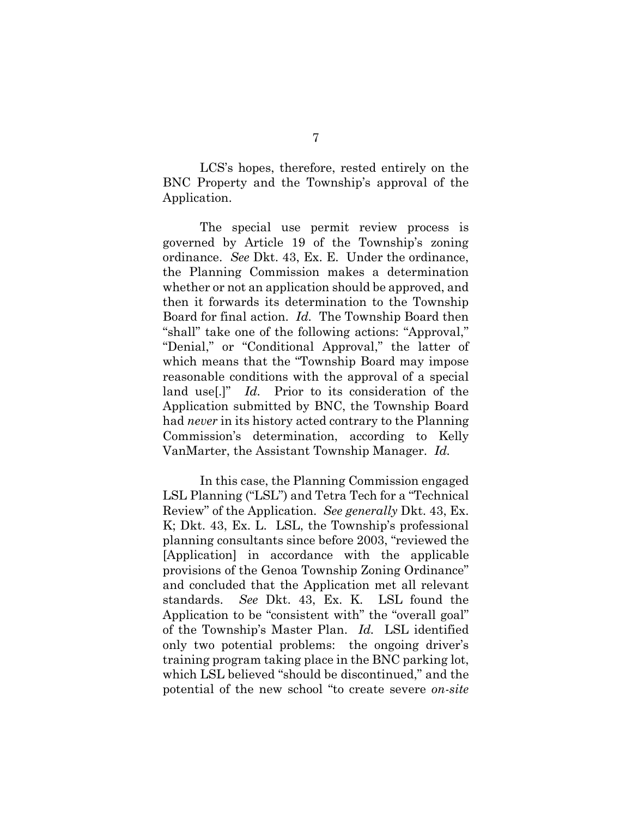LCS's hopes, therefore, rested entirely on the BNC Property and the Township's approval of the Application.

The special use permit review process is governed by Article 19 of the Township's zoning ordinance. *See* Dkt. 43, Ex. E. Under the ordinance, the Planning Commission makes a determination whether or not an application should be approved, and then it forwards its determination to the Township Board for final action. *Id.* The Township Board then "shall" take one of the following actions: "Approval," "Denial," or "Conditional Approval," the latter of which means that the "Township Board may impose reasonable conditions with the approval of a special land use[.]" *Id.* Prior to its consideration of the Application submitted by BNC, the Township Board had *never* in its history acted contrary to the Planning Commission's determination, according to Kelly VanMarter, the Assistant Township Manager. *Id.*

<span id="page-16-0"></span>In this case, the Planning Commission engaged LSL Planning ("LSL") and Tetra Tech for a "Technical Review" of the Application. *See generally* Dkt. 43, Ex. K; Dkt. 43, Ex. L. LSL, the Township's professional planning consultants since before 2003, "reviewed the [Application] in accordance with the applicable provisions of the Genoa Township Zoning Ordinance" and concluded that the Application met all relevant standards. *See* Dkt. 43, Ex. K. LSL found the Application to be "consistent with" the "overall goal" of the Township's Master Plan. *Id.* LSL identified only two potential problems: the ongoing driver's training program taking place in the BNC parking lot, which LSL believed "should be discontinued," and the potential of the new school "to create severe *on-site*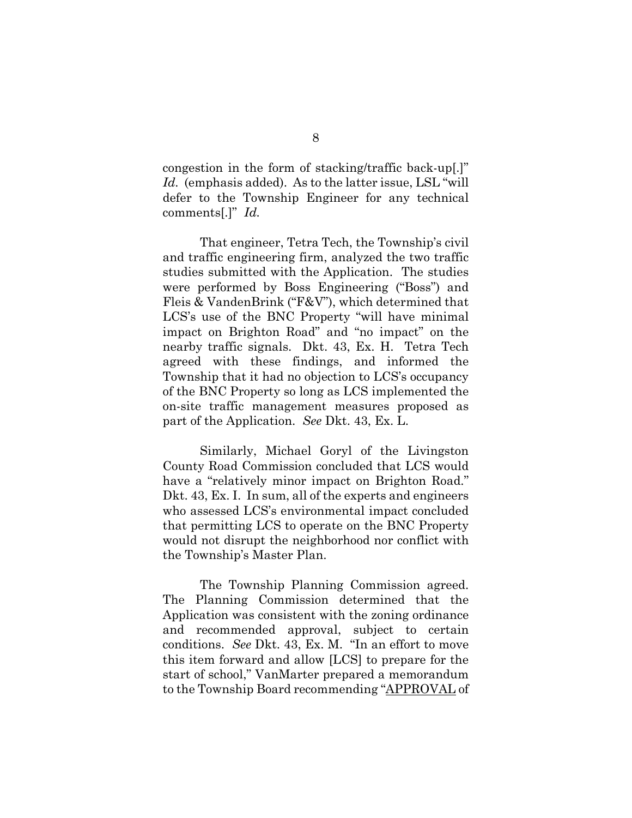<span id="page-17-0"></span>congestion in the form of stacking/traffic back-up[.]" *Id.* (emphasis added). As to the latter issue, LSL "will defer to the Township Engineer for any technical comments[.]" *Id.*

That engineer, Tetra Tech, the Township's civil and traffic engineering firm, analyzed the two traffic studies submitted with the Application. The studies were performed by Boss Engineering ("Boss") and Fleis & VandenBrink ("F&V"), which determined that LCS's use of the BNC Property "will have minimal impact on Brighton Road" and "no impact" on the nearby traffic signals. Dkt. 43, Ex. H. Tetra Tech agreed with these findings, and informed the Township that it had no objection to LCS's occupancy of the BNC Property so long as LCS implemented the on-site traffic management measures proposed as part of the Application. *See* Dkt. 43, Ex. L.

Similarly, Michael Goryl of the Livingston County Road Commission concluded that LCS would have a "relatively minor impact on Brighton Road." Dkt. 43, Ex. I. In sum, all of the experts and engineers who assessed LCS's environmental impact concluded that permitting LCS to operate on the BNC Property would not disrupt the neighborhood nor conflict with the Township's Master Plan.

The Township Planning Commission agreed. The Planning Commission determined that the Application was consistent with the zoning ordinance and recommended approval, subject to certain conditions. *See* Dkt. 43, Ex. M. "In an effort to move this item forward and allow [LCS] to prepare for the start of school," VanMarter prepared a memorandum to the Township Board recommending "APPROVAL of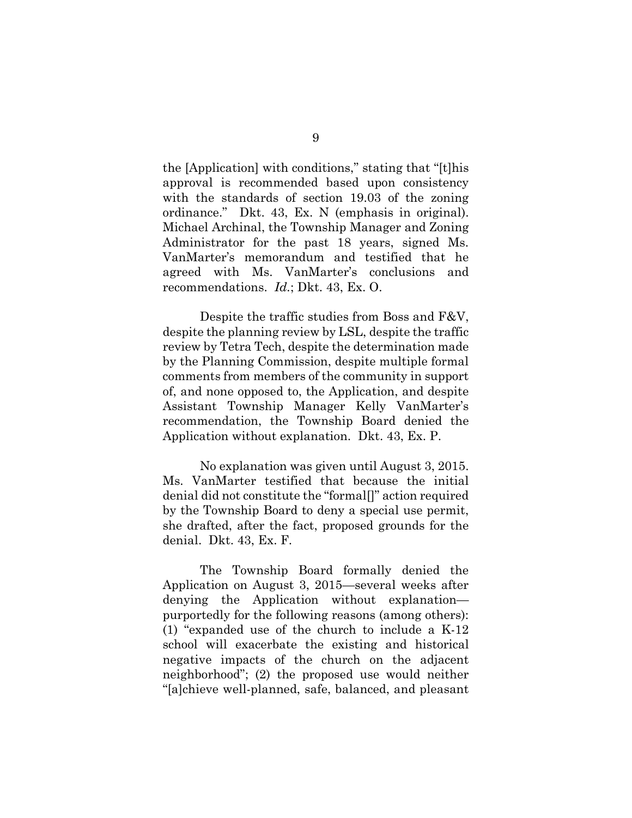the [Application] with conditions," stating that "[t]his approval is recommended based upon consistency with the standards of section 19.03 of the zoning ordinance." Dkt. 43, Ex. N (emphasis in original). Michael Archinal, the Township Manager and Zoning Administrator for the past 18 years, signed Ms. VanMarter's memorandum and testified that he agreed with Ms. VanMarter's conclusions and recommendations. *Id.*; Dkt. 43, Ex. O.

Despite the traffic studies from Boss and F&V, despite the planning review by LSL, despite the traffic review by Tetra Tech, despite the determination made by the Planning Commission, despite multiple formal comments from members of the community in support of, and none opposed to, the Application, and despite Assistant Township Manager Kelly VanMarter's recommendation, the Township Board denied the Application without explanation. Dkt. 43, Ex. P.

No explanation was given until August 3, 2015. Ms. VanMarter testified that because the initial denial did not constitute the "formal[]" action required by the Township Board to deny a special use permit, she drafted, after the fact, proposed grounds for the denial. Dkt. 43, Ex. F.

The Township Board formally denied the Application on August 3, 2015—several weeks after denying the Application without explanation purportedly for the following reasons (among others): (1) "expanded use of the church to include a K-12 school will exacerbate the existing and historical negative impacts of the church on the adjacent neighborhood"; (2) the proposed use would neither "[a]chieve well-planned, safe, balanced, and pleasant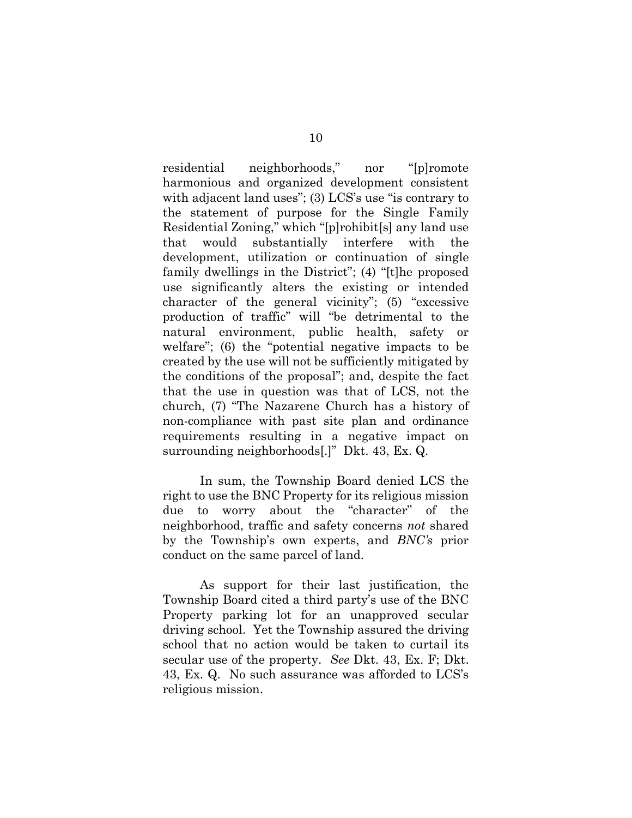residential neighborhoods," nor "[p]romote harmonious and organized development consistent with adjacent land uses"; (3) LCS's use "is contrary to the statement of purpose for the Single Family Residential Zoning," which "[p]rohibit[s] any land use that would substantially interfere with the development, utilization or continuation of single family dwellings in the District"; (4) "[t]he proposed use significantly alters the existing or intended character of the general vicinity"; (5) "excessive production of traffic" will "be detrimental to the natural environment, public health, safety or welfare"; (6) the "potential negative impacts to be created by the use will not be sufficiently mitigated by the conditions of the proposal"; and, despite the fact that the use in question was that of LCS, not the church, (7) "The Nazarene Church has a history of non-compliance with past site plan and ordinance requirements resulting in a negative impact on surrounding neighborhoods[.]" Dkt. 43, Ex. Q.

In sum, the Township Board denied LCS the right to use the BNC Property for its religious mission due to worry about the "character" of the neighborhood, traffic and safety concerns *not* shared by the Township's own experts, and *BNC's* prior conduct on the same parcel of land.

As support for their last justification, the Township Board cited a third party's use of the BNC Property parking lot for an unapproved secular driving school. Yet the Township assured the driving school that no action would be taken to curtail its secular use of the property. *See* Dkt. 43, Ex. F; Dkt. 43, Ex. Q. No such assurance was afforded to LCS's religious mission.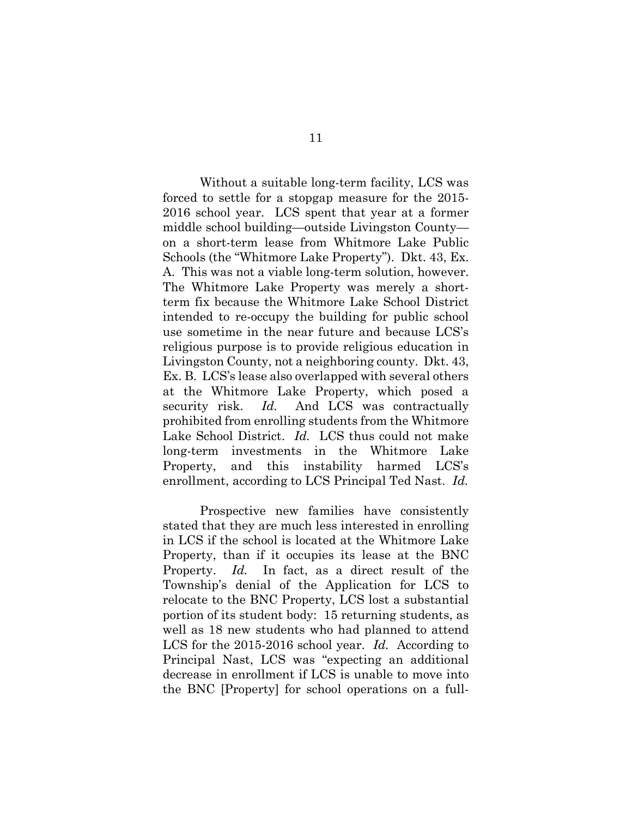Without a suitable long-term facility, LCS was forced to settle for a stopgap measure for the 2015- 2016 school year. LCS spent that year at a former middle school building—outside Livingston County on a short-term lease from Whitmore Lake Public Schools (the "Whitmore Lake Property"). Dkt. 43, Ex. A. This was not a viable long-term solution, however. The Whitmore Lake Property was merely a shortterm fix because the Whitmore Lake School District intended to re-occupy the building for public school use sometime in the near future and because LCS's religious purpose is to provide religious education in Livingston County, not a neighboring county. Dkt. 43, Ex. B. LCS's lease also overlapped with several others at the Whitmore Lake Property, which posed a security risk. *Id.* And LCS was contractually prohibited from enrolling students from the Whitmore Lake School District. *Id.* LCS thus could not make long-term investments in the Whitmore Lake Property, and this instability harmed LCS's enrollment, according to LCS Principal Ted Nast. *Id.*

Prospective new families have consistently stated that they are much less interested in enrolling in LCS if the school is located at the Whitmore Lake Property, than if it occupies its lease at the BNC Property. *Id.* In fact, as a direct result of the Township's denial of the Application for LCS to relocate to the BNC Property, LCS lost a substantial portion of its student body: 15 returning students, as well as 18 new students who had planned to attend LCS for the 2015-2016 school year. *Id.* According to Principal Nast, LCS was "expecting an additional decrease in enrollment if LCS is unable to move into the BNC [Property] for school operations on a full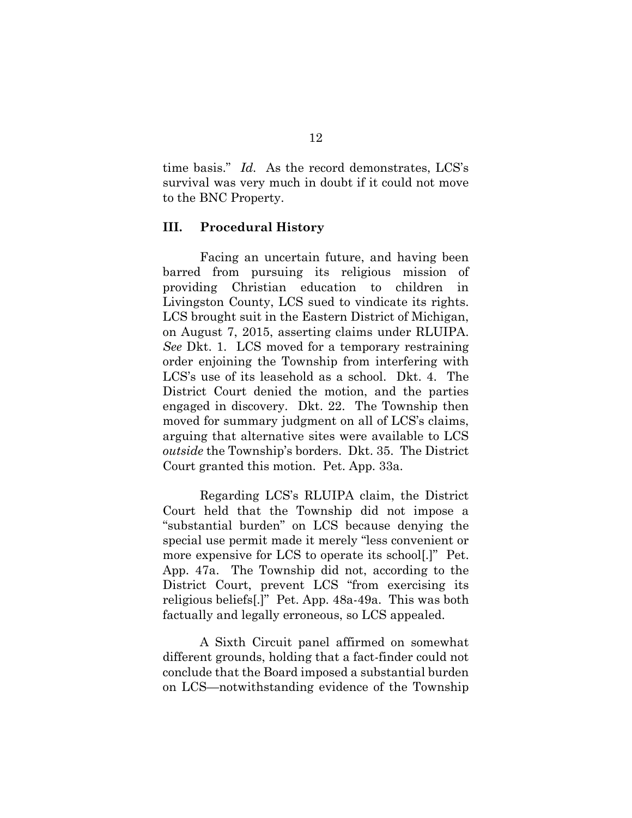time basis." *Id.* As the record demonstrates, LCS's survival was very much in doubt if it could not move to the BNC Property.

#### <span id="page-21-0"></span>**III. Procedural History**

Facing an uncertain future, and having been barred from pursuing its religious mission of providing Christian education to children in Livingston County, LCS sued to vindicate its rights. LCS brought suit in the Eastern District of Michigan, on August 7, 2015, asserting claims under RLUIPA. *See* Dkt. 1. LCS moved for a temporary restraining order enjoining the Township from interfering with LCS's use of its leasehold as a school. Dkt. 4. The District Court denied the motion, and the parties engaged in discovery. Dkt. 22. The Township then moved for summary judgment on all of LCS's claims, arguing that alternative sites were available to LCS *outside* the Township's borders. Dkt. 35. The District Court granted this motion. Pet. App. 33a.

Regarding LCS's RLUIPA claim, the District Court held that the Township did not impose a "substantial burden" on LCS because denying the special use permit made it merely "less convenient or more expensive for LCS to operate its school[.]" Pet. App. 47a. The Township did not, according to the District Court, prevent LCS "from exercising its religious beliefs[.]" Pet. App. 48a-49a. This was both factually and legally erroneous, so LCS appealed.

A Sixth Circuit panel affirmed on somewhat different grounds, holding that a fact-finder could not conclude that the Board imposed a substantial burden on LCS—notwithstanding evidence of the Township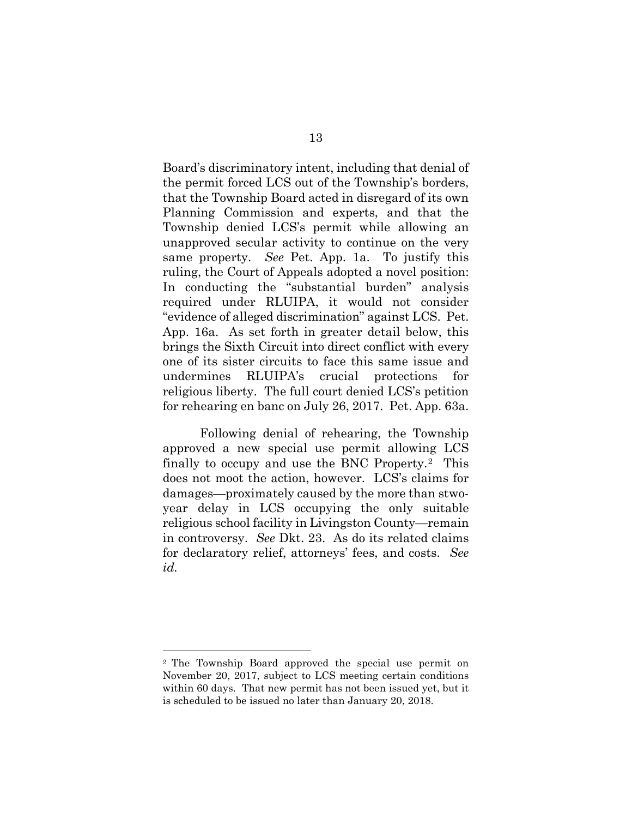Board's discriminatory intent, including that denial of the permit forced LCS out of the Township's borders, that the Township Board acted in disregard of its own Planning Commission and experts, and that the Township denied LCS's permit while allowing an unapproved secular activity to continue on the very same property. *See* Pet. App. 1a. To justify this ruling, the Court of Appeals adopted a novel position: In conducting the "substantial burden" analysis required under RLUIPA, it would not consider "evidence of alleged discrimination" against LCS. Pet. App. 16a. As set forth in greater detail below, this brings the Sixth Circuit into direct conflict with every one of its sister circuits to face this same issue and undermines RLUIPA's crucial protections for religious liberty. The full court denied LCS's petition for rehearing en banc on July 26, 2017. Pet. App. 63a.

Following denial of rehearing, the Township approved a new special use permit allowing LCS finally to occupy and use the BNC Property.[2](#page-22-0) This does not moot the action, however. LCS's claims for damages—proximately caused by the more than stwoyear delay in LCS occupying the only suitable religious school facility in Livingston County—remain in controversy. *See* Dkt. 23. As do its related claims for declaratory relief, attorneys' fees, and costs. *See id.*

 $\overline{a}$ 

<span id="page-22-0"></span><sup>2</sup> The Township Board approved the special use permit on November 20, 2017, subject to LCS meeting certain conditions within 60 days. That new permit has not been issued yet, but it is scheduled to be issued no later than January 20, 2018.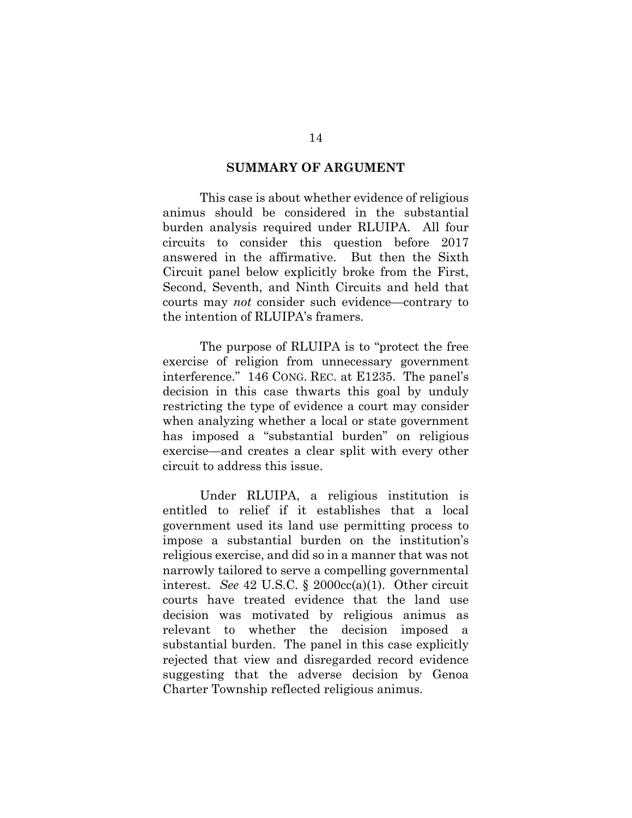#### <span id="page-23-0"></span>**SUMMARY OF ARGUMENT**

This case is about whether evidence of religious animus should be considered in the substantial burden analysis required under RLUIPA. All four circuits to consider this question before 2017 answered in the affirmative. But then the Sixth Circuit panel below explicitly broke from the First, Second, Seventh, and Ninth Circuits and held that courts may *not* consider such evidence—contrary to the intention of RLUIPA's framers*.* 

<span id="page-23-2"></span>The purpose of RLUIPA is to "protect the free exercise of religion from unnecessary government interference." 146 CONG. REC. at E1235. The panel's decision in this case thwarts this goal by unduly restricting the type of evidence a court may consider when analyzing whether a local or state government has imposed a "substantial burden" on religious exercise—and creates a clear split with every other circuit to address this issue.

<span id="page-23-1"></span>Under RLUIPA, a religious institution is entitled to relief if it establishes that a local government used its land use permitting process to impose a substantial burden on the institution's religious exercise, and did so in a manner that was not narrowly tailored to serve a compelling governmental interest. *See* 42 U.S.C. § 2000cc(a)(1). Other circuit courts have treated evidence that the land use decision was motivated by religious animus as relevant to whether the decision imposed a substantial burden. The panel in this case explicitly rejected that view and disregarded record evidence suggesting that the adverse decision by Genoa Charter Township reflected religious animus.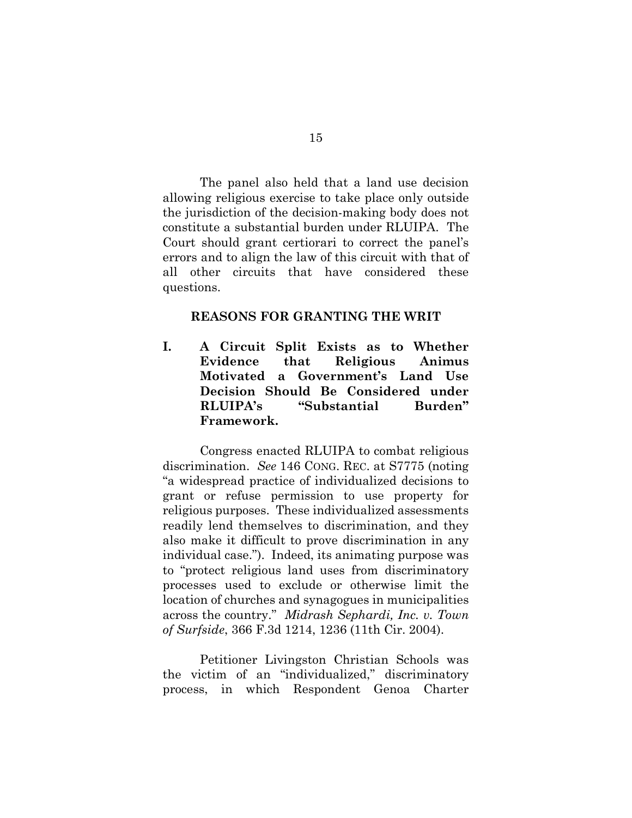The panel also held that a land use decision allowing religious exercise to take place only outside the jurisdiction of the decision-making body does not constitute a substantial burden under RLUIPA. The Court should grant certiorari to correct the panel's errors and to align the law of this circuit with that of all other circuits that have considered these questions.

#### <span id="page-24-0"></span>**REASONS FOR GRANTING THE WRIT**

**I. A Circuit Split Exists as to Whether Evidence that Religious Animus Motivated a Government's Land Use Decision Should Be Considered under RLUIPA's "Substantial Burden" Framework.**

<span id="page-24-3"></span><span id="page-24-1"></span>Congress enacted RLUIPA to combat religious discrimination. *See* 146 CONG. REC. at S7775 (noting "a widespread practice of individualized decisions to grant or refuse permission to use property for religious purposes. These individualized assessments readily lend themselves to discrimination, and they also make it difficult to prove discrimination in any individual case."). Indeed, its animating purpose was to "protect religious land uses from discriminatory processes used to exclude or otherwise limit the location of churches and synagogues in municipalities across the country." *Midrash Sephardi, Inc. v. Town of Surfside*, 366 F.3d 1214, 1236 (11th Cir. 2004).

<span id="page-24-2"></span>Petitioner Livingston Christian Schools was the victim of an "individualized," discriminatory process, in which Respondent Genoa Charter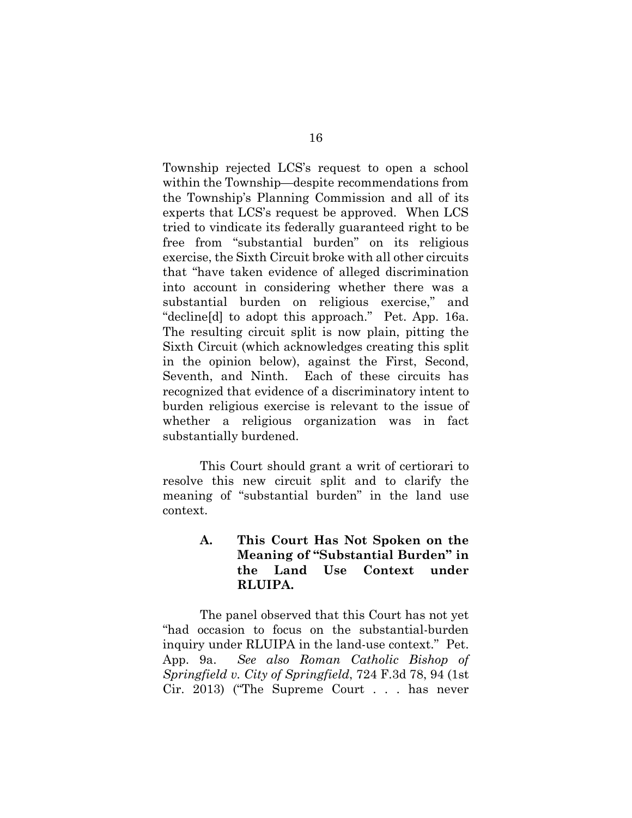Township rejected LCS's request to open a school within the Township—despite recommendations from the Township's Planning Commission and all of its experts that LCS's request be approved. When LCS tried to vindicate its federally guaranteed right to be free from "substantial burden" on its religious exercise, the Sixth Circuit broke with all other circuits that "have taken evidence of alleged discrimination into account in considering whether there was a substantial burden on religious exercise," and "decline[d] to adopt this approach." Pet. App. 16a. The resulting circuit split is now plain, pitting the Sixth Circuit (which acknowledges creating this split in the opinion below), against the First, Second, Seventh, and Ninth. Each of these circuits has recognized that evidence of a discriminatory intent to burden religious exercise is relevant to the issue of whether a religious organization was in fact substantially burdened.

This Court should grant a writ of certiorari to resolve this new circuit split and to clarify the meaning of "substantial burden" in the land use context.

#### <span id="page-25-0"></span>**A. This Court Has Not Spoken on the Meaning of "Substantial Burden" in the Land Use Context under RLUIPA.**

<span id="page-25-1"></span>The panel observed that this Court has not yet "had occasion to focus on the substantial-burden inquiry under RLUIPA in the land-use context." Pet. App. 9a. *See also Roman Catholic Bishop of Springfield v. City of Springfield*, 724 F.3d 78, 94 (1st Cir. 2013) ("The Supreme Court . . . has never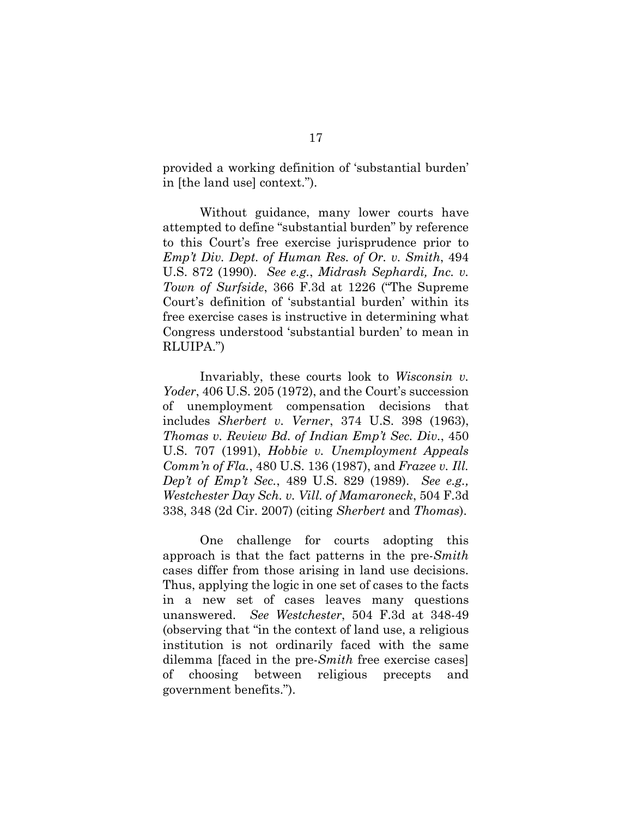provided a working definition of 'substantial burden' in [the land use] context.").

<span id="page-26-3"></span><span id="page-26-0"></span>Without guidance, many lower courts have attempted to define "substantial burden" by reference to this Court's free exercise jurisprudence prior to *Emp't Div. Dept. of Human Res. of Or. v. Smith*, 494 U.S. 872 (1990). *See e.g.*, *Midrash Sephardi, Inc. v. Town of Surfside*, 366 F.3d at 1226 ("The Supreme Court's definition of 'substantial burden' within its free exercise cases is instructive in determining what Congress understood 'substantial burden' to mean in RLUIPA.")

<span id="page-26-7"></span><span id="page-26-5"></span><span id="page-26-4"></span><span id="page-26-2"></span>Invariably, these courts look to *Wisconsin v. Yoder*, 406 U.S. 205 (1972), and the Court's succession of unemployment compensation decisions that includes *Sherbert v. Verner*, 374 U.S. 398 (1963), *Thomas v. Review Bd. of Indian Emp't Sec. Div.*, 450 U.S. 707 (1991), *Hobbie v. Unemployment Appeals Comm'n of Fla.*, 480 U.S. 136 (1987), and *Frazee v. Ill. Dep't of Emp't Sec.*, 489 U.S. 829 (1989). *See e.g., Westchester Day Sch. v. Vill. of Mamaroneck*, 504 F.3d 338, 348 (2d Cir. 2007) (citing *Sherbert* and *Thomas*).

<span id="page-26-6"></span><span id="page-26-1"></span>One challenge for courts adopting this approach is that the fact patterns in the pre-*Smith* cases differ from those arising in land use decisions. Thus, applying the logic in one set of cases to the facts in a new set of cases leaves many questions unanswered. *See Westchester*, 504 F.3d at 348-49 (observing that "in the context of land use, a religious institution is not ordinarily faced with the same dilemma [faced in the pre-*Smith* free exercise cases] of choosing between religious precepts and government benefits.").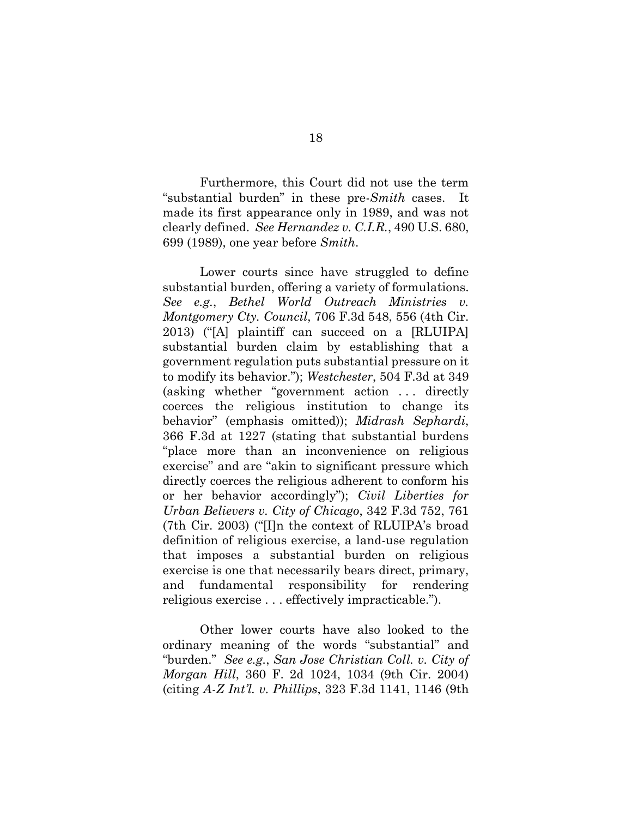<span id="page-27-3"></span>Furthermore, this Court did not use the term "substantial burden" in these pre-*Smith* cases. It made its first appearance only in 1989, and was not clearly defined. *See Hernandez v. C.I.R.*, 490 U.S. 680, 699 (1989), one year before *Smith*.

<span id="page-27-4"></span><span id="page-27-2"></span><span id="page-27-0"></span>Lower courts since have struggled to define substantial burden, offering a variety of formulations. *See e.g.*, *Bethel World Outreach Ministries v. Montgomery Cty. Council*, 706 F.3d 548, 556 (4th Cir. 2013) ("[A] plaintiff can succeed on a [RLUIPA] substantial burden claim by establishing that a government regulation puts substantial pressure on it to modify its behavior."); *Westchester*, 504 F.3d at 349 (asking whether "government action . . . directly coerces the religious institution to change its behavior" (emphasis omitted)); *Midrash Sephardi*, 366 F.3d at 1227 (stating that substantial burdens "place more than an inconvenience on religious exercise" and are "akin to significant pressure which directly coerces the religious adherent to conform his or her behavior accordingly"); *Civil Liberties for Urban Believers v. City of Chicago*, 342 F.3d 752, 761 (7th Cir. 2003) ("[I]n the context of RLUIPA's broad definition of religious exercise, a land-use regulation that imposes a substantial burden on religious exercise is one that necessarily bears direct, primary, and fundamental responsibility for rendering religious exercise . . . effectively impracticable.").

<span id="page-27-5"></span><span id="page-27-1"></span>Other lower courts have also looked to the ordinary meaning of the words "substantial" and "burden." *See e.g.*, *San Jose Christian Coll. v. City of Morgan Hill*, 360 F. 2d 1024, 1034 (9th Cir. 2004) (citing *A-Z Int'l. v. Phillips*, 323 F.3d 1141, 1146 (9th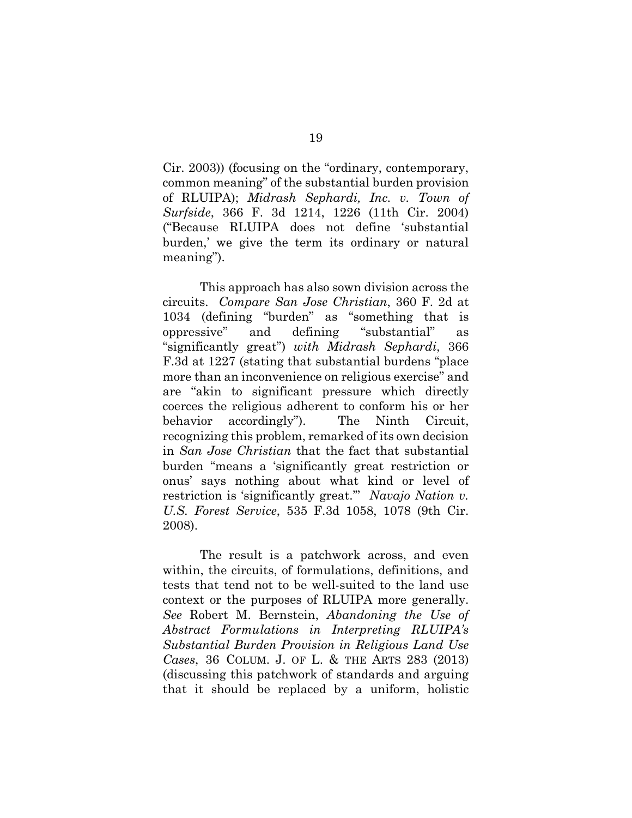<span id="page-28-0"></span>Cir. 2003)) (focusing on the "ordinary, contemporary, common meaning" of the substantial burden provision of RLUIPA); *Midrash Sephardi, Inc. v. Town of Surfside*, 366 F. 3d 1214, 1226 (11th Cir. 2004) ("Because RLUIPA does not define 'substantial burden,' we give the term its ordinary or natural meaning").

<span id="page-28-2"></span>This approach has also sown division across the circuits. *Compare San Jose Christian*, 360 F. 2d at 1034 (defining "burden" as "something that is oppressive" and defining "substantial" as "significantly great") *with Midrash Sephardi*, 366 F.3d at 1227 (stating that substantial burdens "place more than an inconvenience on religious exercise" and are "akin to significant pressure which directly coerces the religious adherent to conform his or her behavior accordingly"). The Ninth Circuit, recognizing this problem, remarked of its own decision in *San Jose Christian* that the fact that substantial burden "means a 'significantly great restriction or onus' says nothing about what kind or level of restriction is 'significantly great.'" *Navajo Nation v. U.S. Forest Service*, 535 F.3d 1058, 1078 (9th Cir. 2008).

<span id="page-28-3"></span><span id="page-28-1"></span>The result is a patchwork across, and even within, the circuits, of formulations, definitions, and tests that tend not to be well-suited to the land use context or the purposes of RLUIPA more generally. *See* Robert M. Bernstein, *Abandoning the Use of Abstract Formulations in Interpreting RLUIPA's Substantial Burden Provision in Religious Land Use Cases*, 36 COLUM. J. OF L. & THE ARTS 283 (2013) (discussing this patchwork of standards and arguing that it should be replaced by a uniform, holistic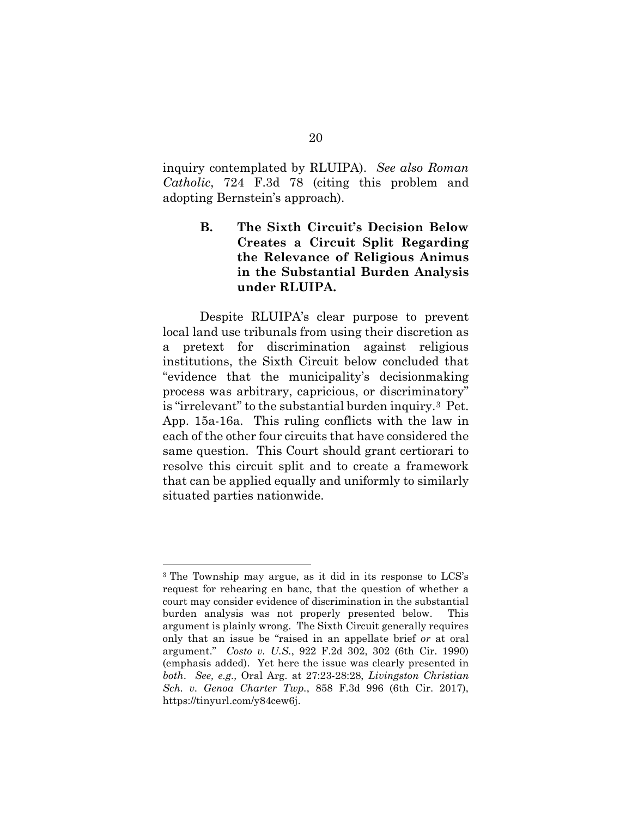inquiry contemplated by RLUIPA). *See also Roman Catholic*, 724 F.3d 78 (citing this problem and adopting Bernstein's approach).

> <span id="page-29-3"></span><span id="page-29-0"></span>**B. The Sixth Circuit's Decision Below Creates a Circuit Split Regarding the Relevance of Religious Animus in the Substantial Burden Analysis under RLUIPA.**

Despite RLUIPA's clear purpose to prevent local land use tribunals from using their discretion as a pretext for discrimination against religious institutions, the Sixth Circuit below concluded that "evidence that the municipality's decisionmaking process was arbitrary, capricious, or discriminatory" is "irrelevant" to the substantial burden inquiry.[3](#page-29-4) Pet. App. 15a-16a. This ruling conflicts with the law in each of the other four circuits that have considered the same question. This Court should grant certiorari to resolve this circuit split and to create a framework that can be applied equally and uniformly to similarly situated parties nationwide.

 $\overline{a}$ 

<span id="page-29-4"></span><span id="page-29-2"></span><span id="page-29-1"></span><sup>3</sup> The Township may argue, as it did in its response to LCS's request for rehearing en banc, that the question of whether a court may consider evidence of discrimination in the substantial burden analysis was not properly presented below. This argument is plainly wrong. The Sixth Circuit generally requires only that an issue be "raised in an appellate brief *or* at oral argument." *Costo v. U.S.*, 922 F.2d 302, 302 (6th Cir. 1990) (emphasis added). Yet here the issue was clearly presented in *both*. *See, e.g.,* Oral Arg. at 27:23-28:28, *Livingston Christian Sch. v. Genoa Charter Twp.*, 858 F.3d 996 (6th Cir. 2017), https://tinyurl.com/y84cew6j.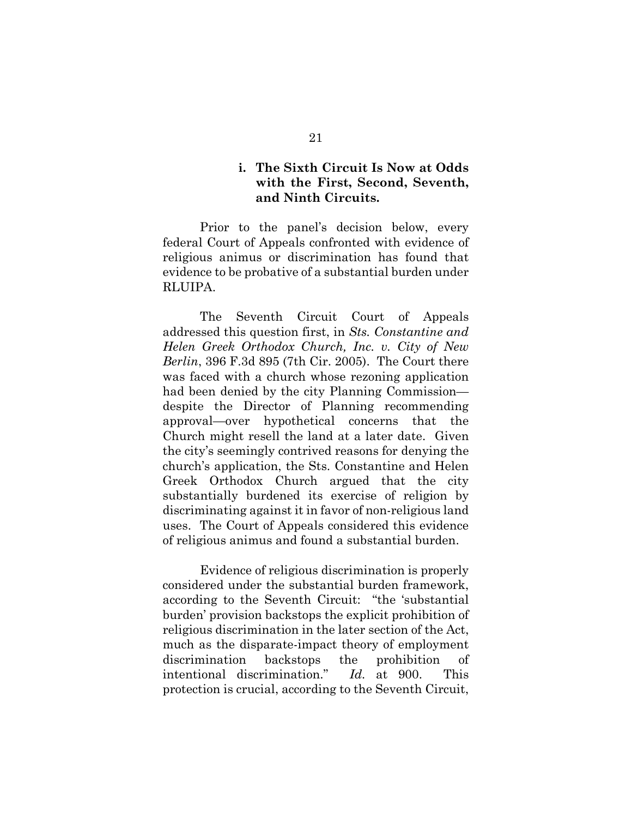#### <span id="page-30-0"></span>**i. The Sixth Circuit Is Now at Odds with the First, Second, Seventh, and Ninth Circuits.**

Prior to the panel's decision below, every federal Court of Appeals confronted with evidence of religious animus or discrimination has found that evidence to be probative of a substantial burden under RLUIPA.

<span id="page-30-1"></span>The Seventh Circuit Court of Appeals addressed this question first, in *Sts. Constantine and Helen Greek Orthodox Church, Inc. v. City of New Berlin*, 396 F.3d 895 (7th Cir. 2005). The Court there was faced with a church whose rezoning application had been denied by the city Planning Commission despite the Director of Planning recommending approval—over hypothetical concerns that the Church might resell the land at a later date. Given the city's seemingly contrived reasons for denying the church's application, the Sts. Constantine and Helen Greek Orthodox Church argued that the city substantially burdened its exercise of religion by discriminating against it in favor of non-religious land uses. The Court of Appeals considered this evidence of religious animus and found a substantial burden.

Evidence of religious discrimination is properly considered under the substantial burden framework, according to the Seventh Circuit: "the 'substantial burden' provision backstops the explicit prohibition of religious discrimination in the later section of the Act, much as the disparate-impact theory of employment discrimination backstops the prohibition of intentional discrimination." *Id.* at 900. This protection is crucial, according to the Seventh Circuit,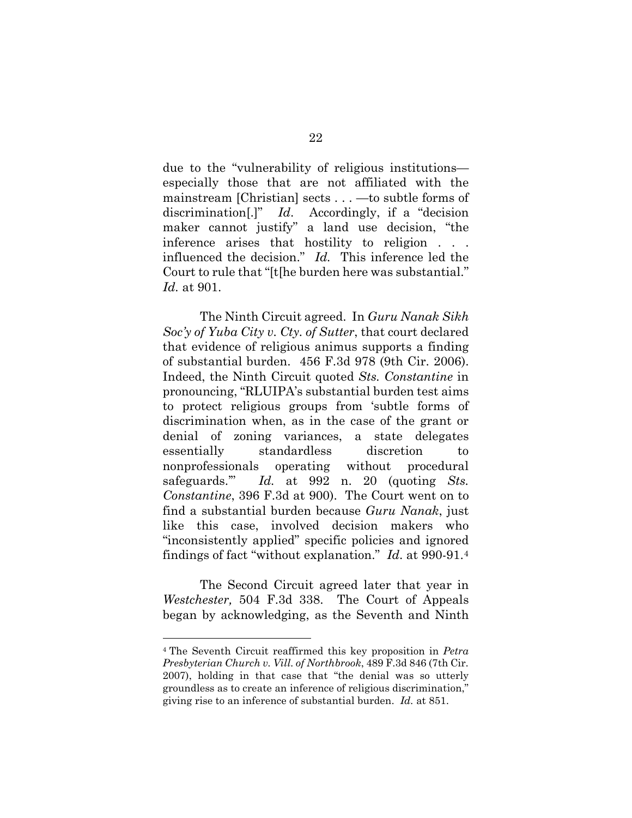<span id="page-31-1"></span>due to the "vulnerability of religious institutions especially those that are not affiliated with the mainstream [Christian] sects . . . —to subtle forms of discrimination[.]" *Id*. Accordingly, if a "decision maker cannot justify" a land use decision, "the inference arises that hostility to religion . . . influenced the decision." *Id.* This inference led the Court to rule that "[t[he burden here was substantial." *Id.* at 901.

The Ninth Circuit agreed. In *Guru Nanak Sikh Soc'y of Yuba City v. Cty. of Sutter*, that court declared that evidence of religious animus supports a finding of substantial burden. 456 F.3d 978 (9th Cir. 2006). Indeed, the Ninth Circuit quoted *Sts. Constantine* in pronouncing, "RLUIPA's substantial burden test aims to protect religious groups from 'subtle forms of discrimination when, as in the case of the grant or denial of zoning variances, a state delegates essentially standardless discretion to nonprofessionals operating without procedural safeguards.'" *Id.* at 992 n. 20 (quoting *Sts. Constantine*, 396 F.3d at 900). The Court went on to find a substantial burden because *Guru Nanak*, just like this case, involved decision makers who "inconsistently applied" specific policies and ignored findings of fact "without explanation." *Id*. at 990-91.[4](#page-31-2)

The Second Circuit agreed later that year in *Westchester,* 504 F.3d 338. The Court of Appeals began by acknowledging, as the Seventh and Ninth

<span id="page-31-0"></span> $\overline{a}$ 

<span id="page-31-2"></span><sup>4</sup> The Seventh Circuit reaffirmed this key proposition in *Petra Presbyterian Church v. Vill. of Northbrook*, 489 F.3d 846 (7th Cir. 2007), holding in that case that "the denial was so utterly groundless as to create an inference of religious discrimination," giving rise to an inference of substantial burden. *Id.* at 851.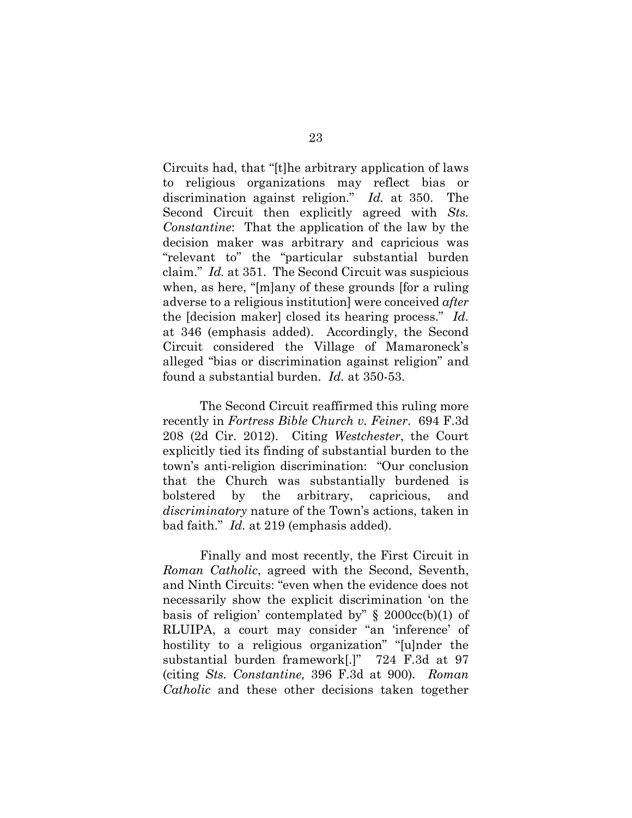<span id="page-32-2"></span>Circuits had, that "[t]he arbitrary application of laws to religious organizations may reflect bias or discrimination against religion." *Id.* at 350. The Second Circuit then explicitly agreed with *Sts. Constantine*: That the application of the law by the decision maker was arbitrary and capricious was "relevant to" the "particular substantial burden claim." *Id.* at 351. The Second Circuit was suspicious when, as here, "[m]any of these grounds [for a ruling adverse to a religious institution] were conceived *after* the [decision maker] closed its hearing process." *Id.* at 346 (emphasis added). Accordingly, the Second Circuit considered the Village of Mamaroneck's alleged "bias or discrimination against religion" and found a substantial burden. *Id.* at 350-53.

<span id="page-32-0"></span>The Second Circuit reaffirmed this ruling more recently in *Fortress Bible Church v. Feiner*. 694 F.3d 208 (2d Cir. 2012). Citing *Westchester*, the Court explicitly tied its finding of substantial burden to the town's anti-religion discrimination: "Our conclusion that the Church was substantially burdened is bolstered by the arbitrary, capricious, and *discriminatory* nature of the Town's actions, taken in bad faith." *Id.* at 219 (emphasis added).

<span id="page-32-1"></span>Finally and most recently, the First Circuit in *Roman Catholic*, agreed with the Second, Seventh, and Ninth Circuits: "even when the evidence does not necessarily show the explicit discrimination 'on the basis of religion' contemplated by"  $\S$  2000cc(b)(1) of RLUIPA, a court may consider "an 'inference' of hostility to a religious organization" "[u]nder the substantial burden framework[.]" 724 F.3d at 97 (citing *Sts. Constantine,* 396 F.3d at 900). *Roman Catholic* and these other decisions taken together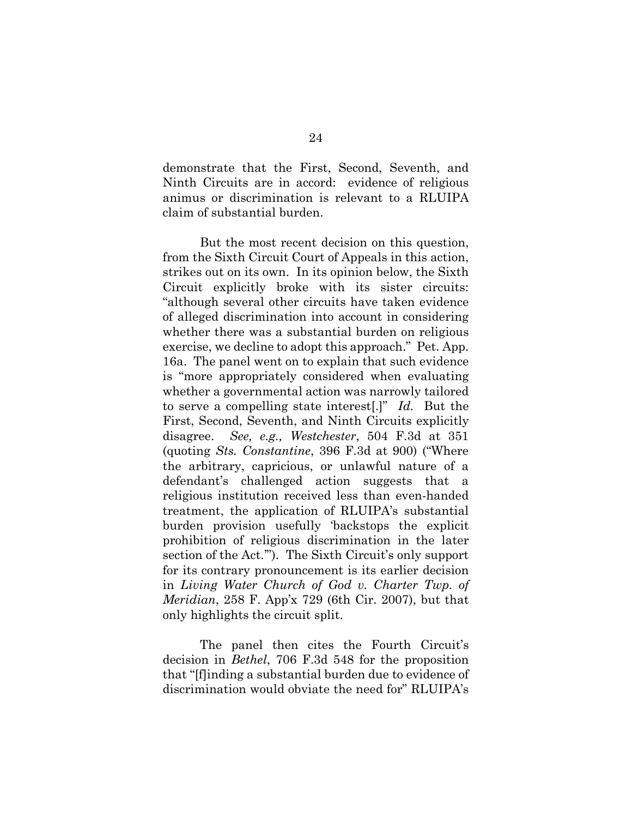demonstrate that the First, Second, Seventh, and Ninth Circuits are in accord: evidence of religious animus or discrimination is relevant to a RLUIPA claim of substantial burden.

But the most recent decision on this question, from the Sixth Circuit Court of Appeals in this action, strikes out on its own. In its opinion below, the Sixth Circuit explicitly broke with its sister circuits: "although several other circuits have taken evidence of alleged discrimination into account in considering whether there was a substantial burden on religious exercise, we decline to adopt this approach." Pet. App. 16a. The panel went on to explain that such evidence is "more appropriately considered when evaluating whether a governmental action was narrowly tailored to serve a compelling state interest[.]" *Id.* But the First, Second, Seventh, and Ninth Circuits explicitly disagree. *See, e.g., Westchester*, 504 F.3d at 351 (quoting *Sts. Constantine*, 396 F.3d at 900) ("Where the arbitrary, capricious, or unlawful nature of a defendant's challenged action suggests that a religious institution received less than even-handed treatment, the application of RLUIPA's substantial burden provision usefully 'backstops the explicit prohibition of religious discrimination in the later section of the Act."'). The Sixth Circuit's only support for its contrary pronouncement is its earlier decision in *Living Water Church of God v. Charter Twp. of Meridian*, 258 F. App'x 729 (6th Cir. 2007), but that only highlights the circuit split.

<span id="page-33-1"></span><span id="page-33-0"></span>The panel then cites the Fourth Circuit's decision in *Bethel*, 706 F.3d 548 for the proposition that "[f]inding a substantial burden due to evidence of discrimination would obviate the need for" RLUIPA's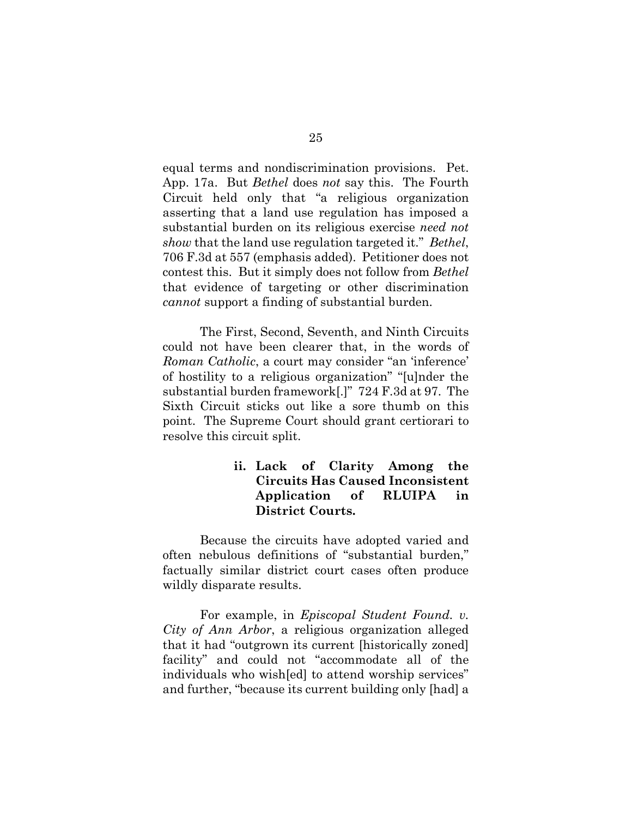<span id="page-34-1"></span>equal terms and nondiscrimination provisions. Pet. App. 17a. But *Bethel* does *not* say this. The Fourth Circuit held only that "a religious organization asserting that a land use regulation has imposed a substantial burden on its religious exercise *need not show* that the land use regulation targeted it." *Bethel*, 706 F.3d at 557 (emphasis added). Petitioner does not contest this. But it simply does not follow from *Bethel* that evidence of targeting or other discrimination *cannot* support a finding of substantial burden.

<span id="page-34-2"></span>The First, Second, Seventh, and Ninth Circuits could not have been clearer that, in the words of *Roman Catholic*, a court may consider "an 'inference' of hostility to a religious organization" "[u]nder the substantial burden framework[.]" 724 F.3d at 97. The Sixth Circuit sticks out like a sore thumb on this point. The Supreme Court should grant certiorari to resolve this circuit split.

#### <span id="page-34-0"></span>**ii. Lack of Clarity Among the Circuits Has Caused Inconsistent Application of RLUIPA in District Courts.**

Because the circuits have adopted varied and often nebulous definitions of "substantial burden," factually similar district court cases often produce wildly disparate results.

For example, in *Episcopal Student Found. v. City of Ann Arbor*, a religious organization alleged that it had "outgrown its current [historically zoned] facility" and could not "accommodate all of the individuals who wish[ed] to attend worship services" and further, "because its current building only [had] a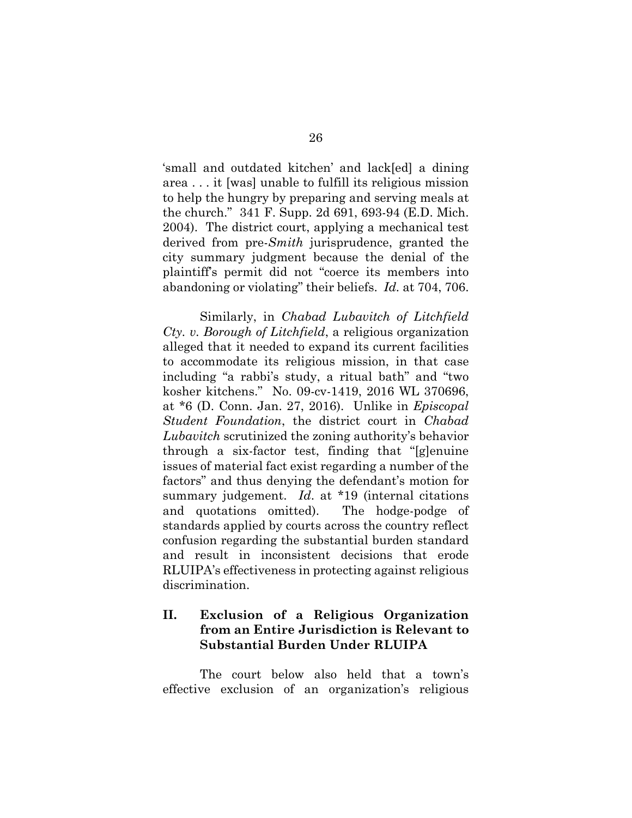'small and outdated kitchen' and lack[ed] a dining area . . . it [was] unable to fulfill its religious mission to help the hungry by preparing and serving meals at the church." 341 F. Supp. 2d 691, 693-94 (E.D. Mich. 2004). The district court, applying a mechanical test derived from pre-*Smith* jurisprudence, granted the city summary judgment because the denial of the plaintiff's permit did not "coerce its members into abandoning or violating" their beliefs. *Id.* at 704, 706.

Similarly, in *Chabad Lubavitch of Litchfield Cty. v. Borough of Litchfield*, a religious organization alleged that it needed to expand its current facilities to accommodate its religious mission, in that case including "a rabbi's study, a ritual bath" and "two kosher kitchens." No. 09-cv-1419, 2016 WL 370696, at \*6 (D. Conn. Jan. 27, 2016). Unlike in *Episcopal Student Foundation*, the district court in *Chabad Lubavitch* scrutinized the zoning authority's behavior through a six-factor test, finding that "[g]enuine issues of material fact exist regarding a number of the factors" and thus denying the defendant's motion for summary judgement. *Id*. at \*19 (internal citations and quotations omitted). The hodge-podge of standards applied by courts across the country reflect confusion regarding the substantial burden standard and result in inconsistent decisions that erode RLUIPA's effectiveness in protecting against religious discrimination.

### <span id="page-35-0"></span>**II. Exclusion of a Religious Organization from an Entire Jurisdiction is Relevant to Substantial Burden Under RLUIPA**

The court below also held that a town's effective exclusion of an organization's religious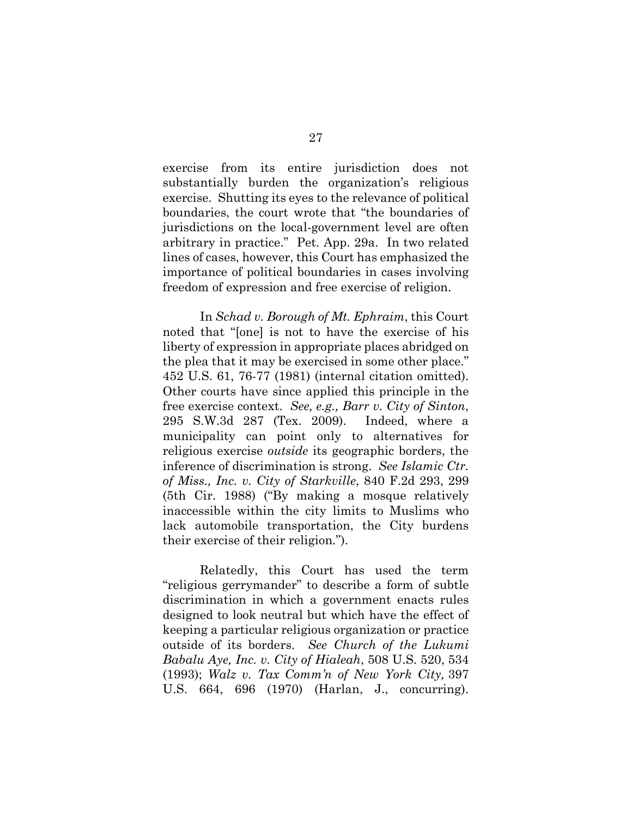exercise from its entire jurisdiction does not substantially burden the organization's religious exercise. Shutting its eyes to the relevance of political boundaries, the court wrote that "the boundaries of jurisdictions on the local-government level are often arbitrary in practice." Pet. App. 29a. In two related lines of cases, however, this Court has emphasized the importance of political boundaries in cases involving freedom of expression and free exercise of religion.

<span id="page-36-0"></span>In *Schad v. Borough of Mt. Ephraim*, this Court noted that "[one] is not to have the exercise of his liberty of expression in appropriate places abridged on the plea that it may be exercised in some other place." 452 U.S. 61, 76-77 (1981) (internal citation omitted). Other courts have since applied this principle in the free exercise context. *See, e.g., Barr v. City of Sinton*, 295 S.W.3d 287 (Tex. 2009). Indeed, where a municipality can point only to alternatives for religious exercise *outside* its geographic borders, the inference of discrimination is strong. *See Islamic Ctr. of Miss., Inc. v. City of Starkville*, 840 F.2d 293, 299 (5th Cir. 1988) ("By making a mosque relatively inaccessible within the city limits to Muslims who lack automobile transportation, the City burdens their exercise of their religion.").

<span id="page-36-3"></span><span id="page-36-2"></span><span id="page-36-1"></span>Relatedly, this Court has used the term "religious gerrymander" to describe a form of subtle discrimination in which a government enacts rules designed to look neutral but which have the effect of keeping a particular religious organization or practice outside of its borders. *See Church of the Lukumi Babalu Aye, Inc. v. City of Hialeah*, 508 U.S. 520, 534 (1993); *Walz v. Tax Comm'n of New York City,* 397 U.S. 664, 696 (1970) (Harlan, J., concurring).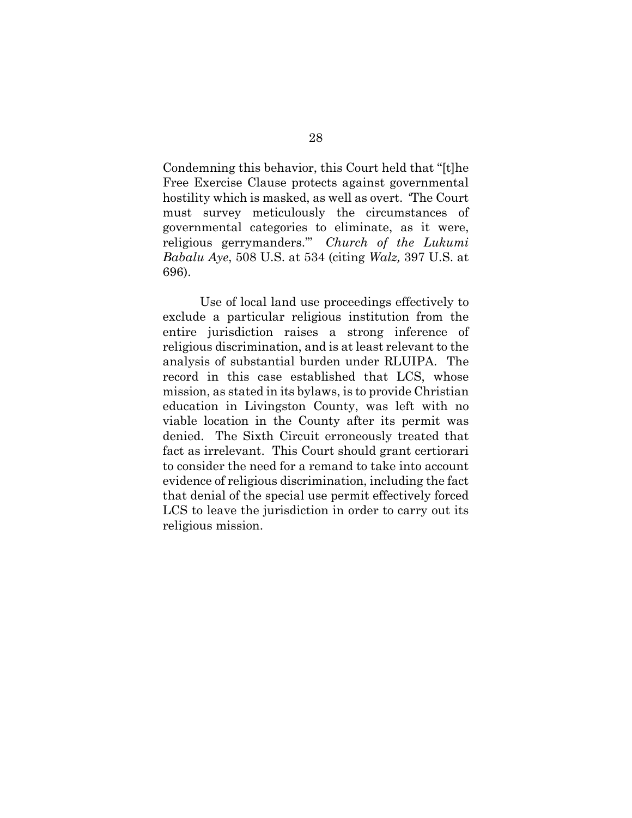Condemning this behavior, this Court held that "[t]he Free Exercise Clause protects against governmental hostility which is masked, as well as overt. 'The Court must survey meticulously the circumstances of governmental categories to eliminate, as it were, religious gerrymanders.'" *Church of the Lukumi Babalu Aye*, 508 U.S. at 534 (citing *Walz,* 397 U.S. at 696).

<span id="page-37-0"></span>Use of local land use proceedings effectively to exclude a particular religious institution from the entire jurisdiction raises a strong inference of religious discrimination, and is at least relevant to the analysis of substantial burden under RLUIPA. The record in this case established that LCS, whose mission, as stated in its bylaws, is to provide Christian education in Livingston County, was left with no viable location in the County after its permit was denied. The Sixth Circuit erroneously treated that fact as irrelevant. This Court should grant certiorari to consider the need for a remand to take into account evidence of religious discrimination, including the fact that denial of the special use permit effectively forced LCS to leave the jurisdiction in order to carry out its religious mission.